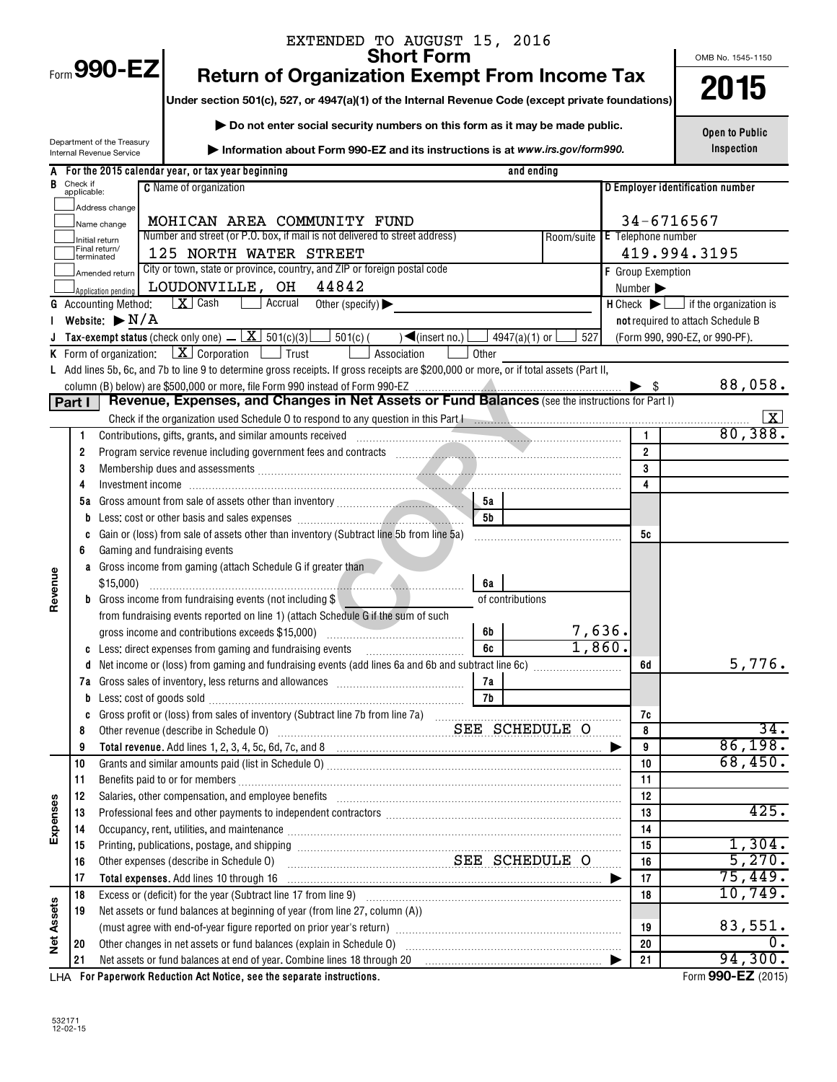|            |                         |                                    | EXTENDED TO AUGUST 15, 2016                                                                                                                                                                                                                                                                  |                  |                           |                                                               |
|------------|-------------------------|------------------------------------|----------------------------------------------------------------------------------------------------------------------------------------------------------------------------------------------------------------------------------------------------------------------------------------------|------------------|---------------------------|---------------------------------------------------------------|
|            |                         | Form 990-EZ                        | <b>Short Form</b>                                                                                                                                                                                                                                                                            |                  |                           | OMB No. 1545-1150                                             |
|            |                         |                                    | <b>Return of Organization Exempt From Income Tax</b>                                                                                                                                                                                                                                         |                  |                           | 2015                                                          |
|            |                         |                                    | Under section 501(c), 527, or 4947(a)(1) of the Internal Revenue Code (except private foundations)                                                                                                                                                                                           |                  |                           |                                                               |
|            |                         |                                    | Do not enter social security numbers on this form as it may be made public.                                                                                                                                                                                                                  |                  |                           |                                                               |
|            |                         | Department of the Treasury         |                                                                                                                                                                                                                                                                                              |                  |                           | <b>Open to Public</b><br>Inspection                           |
|            |                         | Internal Revenue Service           | Information about Form 990-EZ and its instructions is at www.irs.gov/form990.                                                                                                                                                                                                                |                  |                           |                                                               |
|            |                         |                                    | A For the 2015 calendar year, or tax year beginning<br>and ending                                                                                                                                                                                                                            |                  |                           |                                                               |
|            | Check if<br>applicable: |                                    | <b>C</b> Name of organization                                                                                                                                                                                                                                                                |                  |                           | D Employer identification number                              |
|            |                         | Address change                     |                                                                                                                                                                                                                                                                                              |                  |                           | 34-6716567                                                    |
|            |                         | Name change                        | MOHICAN AREA COMMUNITY FUND<br>Number and street (or P.O. box, if mail is not delivered to street address)                                                                                                                                                                                   | Room/suite       | <b>E</b> Telephone number |                                                               |
|            |                         | Initial return<br>Final return/    | 125 NORTH WATER STREET                                                                                                                                                                                                                                                                       |                  |                           | 419.994.3195                                                  |
|            |                         | terminated<br>Amended return       | City or town, state or province, country, and ZIP or foreign postal code                                                                                                                                                                                                                     |                  | F Group Exemption         |                                                               |
|            |                         | Application pending                | LOUDONVILLE, OH<br>44842                                                                                                                                                                                                                                                                     |                  | Number >                  |                                                               |
|            |                         | <b>G</b> Accounting Method:        | $\mid X \mid$ Cash<br>Accrual<br>Other (specify) $\blacktriangleright$                                                                                                                                                                                                                       |                  |                           | $H$ Check $\blacktriangleright$ $\Box$ if the organization is |
|            |                         | Website: $\blacktriangleright$ N/A |                                                                                                                                                                                                                                                                                              |                  |                           | not required to attach Schedule B                             |
|            |                         |                                    | <b>Tax-exempt status</b> (check only one) $\underline{\mathbf{X}}$ 501(c)(3) $\underline{\mathbf{S}}$ 501(c) (<br>$\sqrt{\frac{2}{1}}$ (insert no.)<br>4947(a)(1) or                                                                                                                         | 527              |                           | (Form 990, 990-EZ, or 990-PF).                                |
|            |                         |                                    | <b>K</b> Form of organization: $\boxed{\mathbf{X}}$ Corporation $\boxed{\phantom{a}}$ Trust<br>Association<br>Other                                                                                                                                                                          |                  |                           |                                                               |
|            |                         |                                    | L Add lines 5b, 6c, and 7b to line 9 to determine gross receipts. If gross receipts are \$200,000 or more, or if total assets (Part II,                                                                                                                                                      |                  |                           |                                                               |
|            |                         |                                    |                                                                                                                                                                                                                                                                                              |                  |                           | 88,058.                                                       |
|            | Part I                  |                                    | Revenue, Expenses, and Changes in Net Assets or Fund Balances (see the instructions for Part I)                                                                                                                                                                                              |                  |                           |                                                               |
|            |                         |                                    |                                                                                                                                                                                                                                                                                              |                  | $\mathbf{1}$              | <u>  X  </u><br>80,388.                                       |
|            | 1.<br>2                 |                                    | Contributions, gifts, grants, and similar amounts received<br>Program service revenue including government fees and contracts [11] manuscription contracts [11] manuscription of the service revenue of the service revenue of the service revenue of the service revenue of the service rev |                  | $\overline{2}$            |                                                               |
|            | 3                       |                                    | Membership dues and assessments <i>machine machine and assessments</i> and assessments and and assessments and and all and and all and all and a series and assessments and and all and all and a series of the series of the serie                                                          |                  | 3                         |                                                               |
|            | 4                       |                                    |                                                                                                                                                                                                                                                                                              |                  | 4                         |                                                               |
|            | 5a                      |                                    | 5а                                                                                                                                                                                                                                                                                           |                  |                           |                                                               |
|            | b                       |                                    | 5 <b>b</b>                                                                                                                                                                                                                                                                                   |                  |                           |                                                               |
|            | C                       |                                    | Gain or (loss) from sale of assets other than inventory (Subtract line 5b from line 5a)                                                                                                                                                                                                      |                  | 5с                        |                                                               |
|            | 6                       | Gaming and fundraising events      |                                                                                                                                                                                                                                                                                              |                  |                           |                                                               |
|            |                         |                                    | <b>a</b> Gross income from gaming (attach Schedule G if greater than                                                                                                                                                                                                                         |                  |                           |                                                               |
| Revenue    |                         |                                    | 6а                                                                                                                                                                                                                                                                                           |                  |                           |                                                               |
|            |                         |                                    | <b>b</b> Gross income from fundraising events (not including $\$\right $<br>of contributions                                                                                                                                                                                                 |                  |                           |                                                               |
|            |                         |                                    | from fundraising events reported on line 1) (attach Schedule G if the sum of such                                                                                                                                                                                                            |                  |                           |                                                               |
|            |                         |                                    | 6b                                                                                                                                                                                                                                                                                           | 7,636.<br>1,860. |                           |                                                               |
|            |                         |                                    | 6c                                                                                                                                                                                                                                                                                           |                  |                           | 5,776.                                                        |
|            | d<br>7а                 |                                    | 7а                                                                                                                                                                                                                                                                                           |                  | 6d                        |                                                               |
|            | b                       |                                    | <b>7b</b>                                                                                                                                                                                                                                                                                    |                  |                           |                                                               |
|            | C                       |                                    |                                                                                                                                                                                                                                                                                              |                  | 7c                        |                                                               |
|            | 8                       |                                    | Other revenue (describe in Schedule O) Material Material SEE SCHEDULE O                                                                                                                                                                                                                      |                  | 8                         | $\overline{34}$ .                                             |
|            | 9                       |                                    |                                                                                                                                                                                                                                                                                              |                  | 9                         | 86,198.                                                       |
|            | 10                      |                                    |                                                                                                                                                                                                                                                                                              |                  | 10                        | 68,450.                                                       |
|            | 11                      |                                    |                                                                                                                                                                                                                                                                                              |                  | 11                        |                                                               |
|            | 12                      |                                    | Salaries, other compensation, and employee benefits [11] manufactures in the component of the compensation, and employee benefits [11] manufactures in the compensation of the competition of the competition of the competiti                                                               |                  | 12                        |                                                               |
| Expenses   | 13                      |                                    | Professional fees and other payments to independent contractors [11] professional messional fees and other payments to independent contractors [11] professional fees and other payments to independent contractors [11] profe                                                               |                  | 13                        | 425.                                                          |
|            | 14                      |                                    | Occupancy, rent, utilities, and maintenance manufactured and an arrangement of the manufactured and maintenance                                                                                                                                                                              |                  | 14                        |                                                               |
|            | 15                      |                                    | SEE SCHEDULE O<br>Other expenses (describe in Schedule O)                                                                                                                                                                                                                                    |                  | 15<br>16                  | 1,304.<br>5,270.                                              |
|            | 16<br>17                |                                    | Total expenses. Add lines 10 through 16 manufactured contains and contained a set of the set of the set of the                                                                                                                                                                               |                  | 17                        | 75,449.                                                       |
|            | 18                      |                                    |                                                                                                                                                                                                                                                                                              |                  | 18                        | 10,749.                                                       |
|            | 19                      |                                    | Net assets or fund balances at beginning of year (from line 27, column (A))                                                                                                                                                                                                                  |                  |                           |                                                               |
| Net Assets |                         |                                    | (must agree with end-of-year figure reported on prior year's return) manufactured content agree with end-of-year figure reported on prior year's return)                                                                                                                                     |                  | 19                        | 83,551.                                                       |
|            | 20                      |                                    | Other changes in net assets or fund balances (explain in Schedule 0) [11] content changes in net assets or fund balances (explain in Schedule 0) [11] content changes in net assets or fund balances (explain in Schedule 0) [                                                               |                  | 20                        | 0.                                                            |
|            | 21                      |                                    |                                                                                                                                                                                                                                                                                              |                  | 21                        | 94,300.                                                       |
|            |                         |                                    | LHA For Paperwork Reduction Act Notice, see the separate instructions.                                                                                                                                                                                                                       |                  |                           | Form 990-EZ (2015)                                            |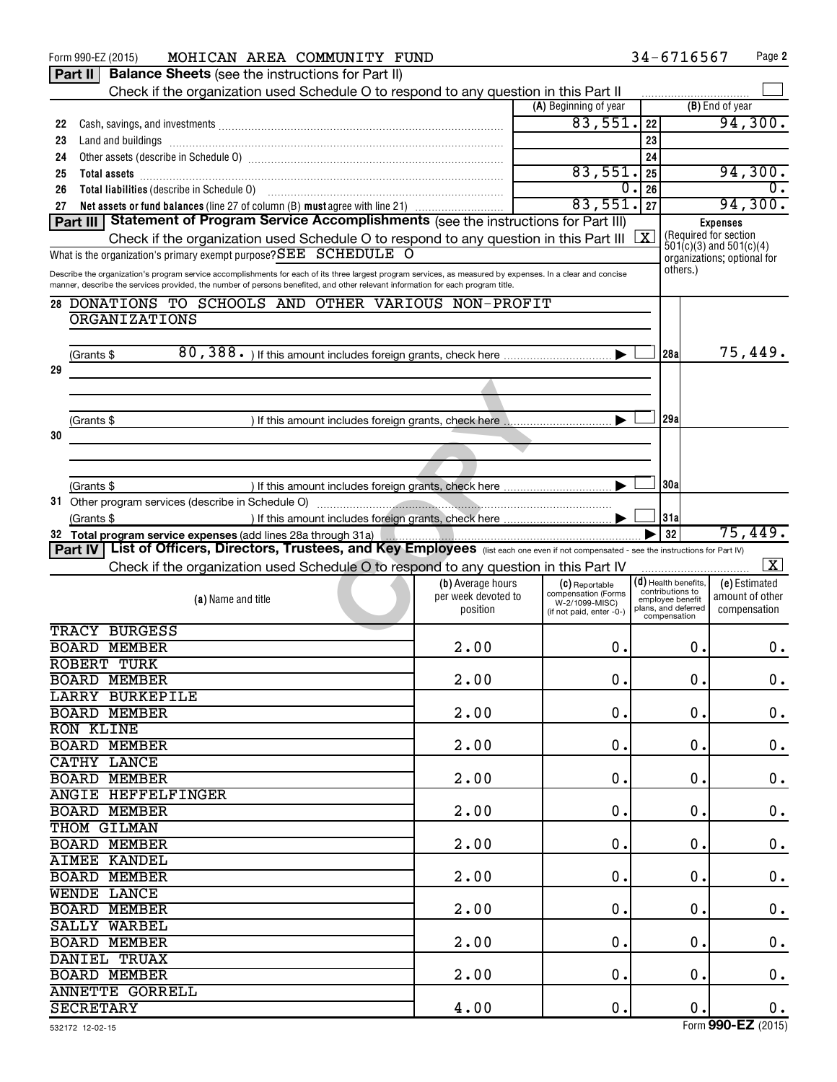|    | MOHICAN AREA COMMUNITY FUND<br>Form 990-EZ (2015)                                                                                                                                                                                                                                                            |                     |                                       |            | 34-6716567                           | Page 2                                                     |
|----|--------------------------------------------------------------------------------------------------------------------------------------------------------------------------------------------------------------------------------------------------------------------------------------------------------------|---------------------|---------------------------------------|------------|--------------------------------------|------------------------------------------------------------|
|    | <b>Part II   Balance Sheets</b> (see the instructions for Part II)                                                                                                                                                                                                                                           |                     |                                       |            |                                      |                                                            |
|    | Check if the organization used Schedule O to respond to any question in this Part II                                                                                                                                                                                                                         |                     |                                       |            |                                      |                                                            |
|    |                                                                                                                                                                                                                                                                                                              |                     | (A) Beginning of year                 |            |                                      | (B) End of year                                            |
| 22 |                                                                                                                                                                                                                                                                                                              |                     | 83,551.                               | 22         |                                      | 94,300.                                                    |
| 23 |                                                                                                                                                                                                                                                                                                              |                     |                                       | 23         |                                      |                                                            |
| 24 |                                                                                                                                                                                                                                                                                                              |                     | 83,551.                               | 24         |                                      |                                                            |
| 25 |                                                                                                                                                                                                                                                                                                              |                     | 0.                                    | 25<br>26   |                                      | 94,300.                                                    |
| 26 | Total liabilities (describe in Schedule 0) [11] [12] matter contracts and a set of the schedule basic stress in the set of the set of the set of the set of the set of the set of the set of the set of the set of the set of<br>Net assets or fund balances (line 27 of column (B) must agree with line 21) |                     | 83,551.                               | 27         |                                      | 94,300.                                                    |
| 27 | Part III   Statement of Program Service Accomplishments (see the instructions for Part III)                                                                                                                                                                                                                  |                     |                                       |            |                                      | <b>Expenses</b>                                            |
|    | Check if the organization used Schedule O to respond to any question in this Part III                                                                                                                                                                                                                        |                     |                                       | $\sqrt{X}$ |                                      | (Required for section                                      |
|    | What is the organization's primary exempt purpose? SEE SCHEDULE O                                                                                                                                                                                                                                            |                     |                                       |            |                                      | $501(c)(3)$ and $501(c)(4)$<br>organizations; optional for |
|    | Describe the organization's program service accomplishments for each of its three largest program services, as measured by expenses. In a clear and concise                                                                                                                                                  |                     |                                       |            | others.)                             |                                                            |
|    | manner, describe the services provided, the number of persons benefited, and other relevant information for each program title.                                                                                                                                                                              |                     |                                       |            |                                      |                                                            |
|    | 28 DONATIONS TO SCHOOLS AND OTHER VARIOUS NON-PROFIT                                                                                                                                                                                                                                                         |                     |                                       |            |                                      |                                                            |
|    | <b>ORGANIZATIONS</b>                                                                                                                                                                                                                                                                                         |                     |                                       |            |                                      |                                                            |
|    |                                                                                                                                                                                                                                                                                                              |                     |                                       |            |                                      |                                                            |
|    | (Grants \$                                                                                                                                                                                                                                                                                                   |                     |                                       |            | 28a                                  | 75,449.                                                    |
| 29 |                                                                                                                                                                                                                                                                                                              |                     |                                       |            |                                      |                                                            |
|    |                                                                                                                                                                                                                                                                                                              |                     |                                       |            |                                      |                                                            |
|    |                                                                                                                                                                                                                                                                                                              |                     |                                       |            |                                      |                                                            |
|    | (Grants \$<br>) If this amount includes foreign grants, check here Numman contains an include states of the set of the same i                                                                                                                                                                                |                     |                                       |            | 29a                                  |                                                            |
| 30 |                                                                                                                                                                                                                                                                                                              |                     |                                       |            |                                      |                                                            |
|    |                                                                                                                                                                                                                                                                                                              |                     |                                       |            |                                      |                                                            |
|    |                                                                                                                                                                                                                                                                                                              |                     |                                       |            |                                      |                                                            |
|    | (Grants \$                                                                                                                                                                                                                                                                                                   |                     |                                       |            | 30a                                  |                                                            |
|    | 31 Other program services (describe in Schedule O)                                                                                                                                                                                                                                                           |                     |                                       |            |                                      |                                                            |
|    | (Grants \$                                                                                                                                                                                                                                                                                                   |                     |                                       |            | 31a<br>32                            | 75,449.                                                    |
|    | Part IV   List of Officers, Directors, Trustees, and Key Employees (list each one even if not compensated - see the instructions for Part IV)                                                                                                                                                                |                     |                                       |            |                                      |                                                            |
|    | Check if the organization used Schedule O to respond to any question in this Part IV                                                                                                                                                                                                                         |                     |                                       |            |                                      | $\mathbf{X}$                                               |
|    |                                                                                                                                                                                                                                                                                                              | (b) Average hours   | (C) Reportable                        |            | $(d)$ Health benefits,               | (e) Estimated                                              |
|    | (a) Name and title                                                                                                                                                                                                                                                                                           | per week devoted to | compensation (Forms<br>W-2/1099-MISC) |            | contributions to<br>employee benefit | amount of other                                            |
|    |                                                                                                                                                                                                                                                                                                              | position            | (if not paid, enter -0-)              |            | plans, and deferred<br>compensation  | compensation                                               |
|    | <b>TRACY BURGESS</b>                                                                                                                                                                                                                                                                                         |                     |                                       |            |                                      |                                                            |
|    | <b>BOARD MEMBER</b>                                                                                                                                                                                                                                                                                          | 2.00                | 0.                                    |            | 0.                                   | О.                                                         |
|    | ROBERT TURK                                                                                                                                                                                                                                                                                                  |                     |                                       |            |                                      |                                                            |
|    | <b>BOARD MEMBER</b>                                                                                                                                                                                                                                                                                          | 2.00                | 0.                                    |            | 0.                                   | $0$ .                                                      |
|    | <b>LARRY BURKEPILE</b>                                                                                                                                                                                                                                                                                       |                     |                                       |            |                                      |                                                            |
|    | <b>BOARD MEMBER</b>                                                                                                                                                                                                                                                                                          | 2.00                | 0.                                    |            | 0.                                   | $\boldsymbol{0}$ .                                         |
|    | <b>RON KLINE</b>                                                                                                                                                                                                                                                                                             |                     |                                       |            |                                      |                                                            |
|    | <b>BOARD MEMBER</b><br>CATHY LANCE                                                                                                                                                                                                                                                                           | 2.00                | 0.                                    |            | 0.                                   | $\boldsymbol{0}$ .                                         |
|    | <b>BOARD MEMBER</b>                                                                                                                                                                                                                                                                                          | 2.00                | 0.                                    |            | 0.                                   | $\mathbf 0$ .                                              |
|    | <b>ANGIE HEFFELFINGER</b>                                                                                                                                                                                                                                                                                    |                     |                                       |            |                                      |                                                            |
|    | <b>BOARD MEMBER</b>                                                                                                                                                                                                                                                                                          | 2.00                | 0.                                    |            | 0.                                   | $\boldsymbol{0}$ .                                         |
|    | THOM GILMAN                                                                                                                                                                                                                                                                                                  |                     |                                       |            |                                      |                                                            |
|    | <b>BOARD MEMBER</b>                                                                                                                                                                                                                                                                                          | 2.00                | 0.                                    |            | 0.                                   | $\mathbf 0$ .                                              |
|    | <b>AIMEE KANDEL</b>                                                                                                                                                                                                                                                                                          |                     |                                       |            |                                      |                                                            |
|    | <b>BOARD MEMBER</b>                                                                                                                                                                                                                                                                                          | 2.00                | 0.                                    |            | 0.                                   | $\boldsymbol{0}$ .                                         |
|    | <b>WENDE LANCE</b>                                                                                                                                                                                                                                                                                           |                     |                                       |            |                                      |                                                            |
|    | <b>BOARD MEMBER</b>                                                                                                                                                                                                                                                                                          | 2.00                | 0.                                    |            | $\mathbf 0$ .                        | $\mathbf 0$ .                                              |
|    | SALLY WARBEL                                                                                                                                                                                                                                                                                                 |                     |                                       |            |                                      |                                                            |
|    | <b>BOARD MEMBER</b>                                                                                                                                                                                                                                                                                          | 2.00                | 0.                                    |            | 0.                                   | $\boldsymbol{0}$ .                                         |
|    | <b>DANIEL TRUAX</b>                                                                                                                                                                                                                                                                                          |                     |                                       |            |                                      |                                                            |
|    | <b>BOARD MEMBER</b>                                                                                                                                                                                                                                                                                          | 2.00                | 0.                                    |            | $\mathbf 0$ .                        | 0.                                                         |
|    | <b>ANNETTE GORRELL</b>                                                                                                                                                                                                                                                                                       |                     |                                       |            |                                      |                                                            |
|    | <b>SECRETARY</b>                                                                                                                                                                                                                                                                                             | 4.00                | 0.                                    |            | $\mathbf 0$ .                        | $0$ .                                                      |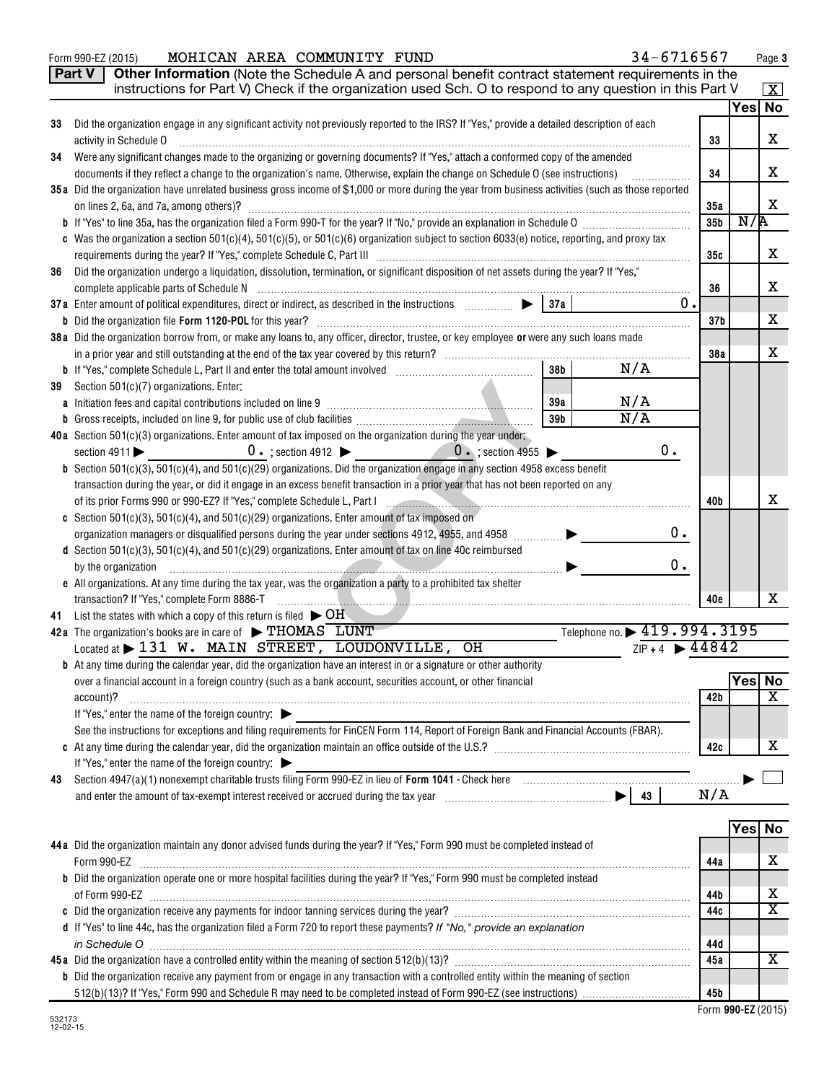|    | Part V<br>Other Information (Note the Schedule A and personal benefit contract statement requirements in the<br>instructions for Part V) Check if the organization used Sch. O to respond to any question in this Part V                                                                                 |                 |               |                         |  |  |  |
|----|----------------------------------------------------------------------------------------------------------------------------------------------------------------------------------------------------------------------------------------------------------------------------------------------------------|-----------------|---------------|-------------------------|--|--|--|
|    |                                                                                                                                                                                                                                                                                                          |                 |               | X <br>Yes No            |  |  |  |
| 33 | Did the organization engage in any significant activity not previously reported to the IRS? If "Yes," provide a detailed description of each                                                                                                                                                             |                 |               |                         |  |  |  |
|    | activity in Schedule O                                                                                                                                                                                                                                                                                   | 33              |               | X                       |  |  |  |
| 34 | Were any significant changes made to the organizing or governing documents? If "Yes," attach a conformed copy of the amended                                                                                                                                                                             |                 |               |                         |  |  |  |
|    | documents if they reflect a change to the organization's name. Otherwise, explain the change on Schedule O (see instructions)<br>.                                                                                                                                                                       |                 |               |                         |  |  |  |
|    | 35a Did the organization have unrelated business gross income of \$1,000 or more during the year from business activities (such as those reported                                                                                                                                                        |                 |               |                         |  |  |  |
|    | on lines 2, 6a, and 7a, among others)?                                                                                                                                                                                                                                                                   | 35a             |               | X                       |  |  |  |
|    |                                                                                                                                                                                                                                                                                                          | 35b             | N/R           |                         |  |  |  |
|    | c Was the organization a section 501(c)(4), 501(c)(5), or 501(c)(6) organization subject to section 6033(e) notice, reporting, and proxy tax                                                                                                                                                             |                 |               | X                       |  |  |  |
| 36 | Did the organization undergo a liquidation, dissolution, termination, or significant disposition of net assets during the year? If "Yes,"                                                                                                                                                                | 35с             |               |                         |  |  |  |
|    |                                                                                                                                                                                                                                                                                                          | 36              |               | х                       |  |  |  |
|    | 0.                                                                                                                                                                                                                                                                                                       |                 |               |                         |  |  |  |
|    |                                                                                                                                                                                                                                                                                                          | 37 <sub>b</sub> |               | х                       |  |  |  |
|    | 38a Did the organization borrow from, or make any loans to, any officer, director, trustee, or key employee or were any such loans made                                                                                                                                                                  |                 |               |                         |  |  |  |
|    |                                                                                                                                                                                                                                                                                                          | 38a             |               | х                       |  |  |  |
|    | N/A<br>38 <sub>b</sub>                                                                                                                                                                                                                                                                                   |                 |               |                         |  |  |  |
| 39 | Section 501(c)(7) organizations. Enter:                                                                                                                                                                                                                                                                  |                 |               |                         |  |  |  |
|    | N/A<br>39a                                                                                                                                                                                                                                                                                               |                 |               |                         |  |  |  |
| b  | N/A<br>39b                                                                                                                                                                                                                                                                                               |                 |               |                         |  |  |  |
|    | 40a Section 501(c)(3) organizations. Enter amount of tax imposed on the organization during the year under:<br>$0$ .<br>$0 \cdot$ ; section 4912 $\triangleright$ $0 \cdot$ ; section 4955 $\triangleright$<br>section $4911$                                                                            |                 |               |                         |  |  |  |
|    | <b>b</b> Section 501(c)(3), 501(c)(4), and 501(c)(29) organizations. Did the organization engage in any section 4958 excess benefit                                                                                                                                                                      |                 |               |                         |  |  |  |
|    | transaction during the year, or did it engage in an excess benefit transaction in a prior year that has not been reported on any                                                                                                                                                                         |                 |               |                         |  |  |  |
|    |                                                                                                                                                                                                                                                                                                          | 40b             |               | х                       |  |  |  |
|    | c Section 501(c)(3), 501(c)(4), and 501(c)(29) organizations. Enter amount of tax imposed on                                                                                                                                                                                                             |                 |               |                         |  |  |  |
|    | 0.<br>organization managers or disqualified persons during the year under sections 4912, 4955, and 4958 [                                                                                                                                                                                                |                 |               |                         |  |  |  |
|    | d Section 501(c)(3), 501(c)(4), and 501(c)(29) organizations. Enter amount of tax on line 40c reimbursed                                                                                                                                                                                                 |                 |               |                         |  |  |  |
|    | 0.<br>by the organization                                                                                                                                                                                                                                                                                |                 |               |                         |  |  |  |
|    | e All organizations. At any time during the tax year, was the organization a party to a prohibited tax shelter                                                                                                                                                                                           |                 |               |                         |  |  |  |
|    | transaction? If "Yes," complete Form 8886-T<br>.                                                                                                                                                                                                                                                         | 40 <sub>e</sub> |               | x                       |  |  |  |
| 41 | List the states with which a copy of this return is filed $\blacktriangleright$ OH<br>Telephone no. > 419.994.3195<br>42a The organization's books are in care of $\triangleright$ THOMAS LUNT                                                                                                           |                 |               |                         |  |  |  |
|    | $ZIP + 4$ $\rightarrow$ 44842<br>Located at > 131 W. MAIN STREET, LOUDONVILLE, OH                                                                                                                                                                                                                        |                 |               |                         |  |  |  |
|    | <b>b</b> At any time during the calendar year, did the organization have an interest in or a signature or other authority                                                                                                                                                                                |                 |               |                         |  |  |  |
|    | over a financial account in a foreign country (such as a bank account, securities account, or other financial                                                                                                                                                                                            |                 | <b>Yes No</b> |                         |  |  |  |
|    | account)?                                                                                                                                                                                                                                                                                                | 42b             |               | X                       |  |  |  |
|    | If "Yes," enter the name of the foreign country: $\blacktriangleright$                                                                                                                                                                                                                                   |                 |               |                         |  |  |  |
|    | See the instructions for exceptions and filing requirements for FinCEN Form 114, Report of Foreign Bank and Financial Accounts (FBAR).                                                                                                                                                                   |                 |               |                         |  |  |  |
|    |                                                                                                                                                                                                                                                                                                          | 42c             |               | x                       |  |  |  |
|    | If "Yes," enter the name of the foreign country: $\blacktriangleright$<br>Section 4947(a)(1) nonexempt charitable trusts filing Form 990-EZ in lieu of Form 1041 - Check here manufactured and the manufactured with the Section 4947(a)(1) nonexempt charitable trusts filing Form 990-EZ in lieu of Fo |                 |               |                         |  |  |  |
| 43 |                                                                                                                                                                                                                                                                                                          | N/A             |               |                         |  |  |  |
|    |                                                                                                                                                                                                                                                                                                          |                 |               |                         |  |  |  |
|    |                                                                                                                                                                                                                                                                                                          |                 |               | Yes  No                 |  |  |  |
|    | 44a Did the organization maintain any donor advised funds during the year? If "Yes," Form 990 must be completed instead of                                                                                                                                                                               |                 |               |                         |  |  |  |
|    |                                                                                                                                                                                                                                                                                                          | 44a             |               | x                       |  |  |  |
|    | b Did the organization operate one or more hospital facilities during the year? If "Yes," Form 990 must be completed instead                                                                                                                                                                             |                 |               |                         |  |  |  |
|    |                                                                                                                                                                                                                                                                                                          | 44b             |               | х                       |  |  |  |
|    |                                                                                                                                                                                                                                                                                                          | 44c             |               | $\overline{\textbf{X}}$ |  |  |  |
|    | d If "Yes" to line 44c, has the organization filed a Form 720 to report these payments? If "No," provide an explanation                                                                                                                                                                                  |                 |               |                         |  |  |  |
|    | in Schedule O                                                                                                                                                                                                                                                                                            | 44d<br>45a      |               | х                       |  |  |  |
|    | <b>b</b> Did the organization receive any payment from or engage in any transaction with a controlled entity within the meaning of section                                                                                                                                                               |                 |               |                         |  |  |  |
|    |                                                                                                                                                                                                                                                                                                          | 45b             |               |                         |  |  |  |

Form 990-EZ (2015) **MOHICAN AREA COMMUNITY FUND** 34-6/I 656/ Page

MOHICAN AREA COMMUNITY FUND 34-6716567

 **990-EZ** Form (2015)

**Page 3**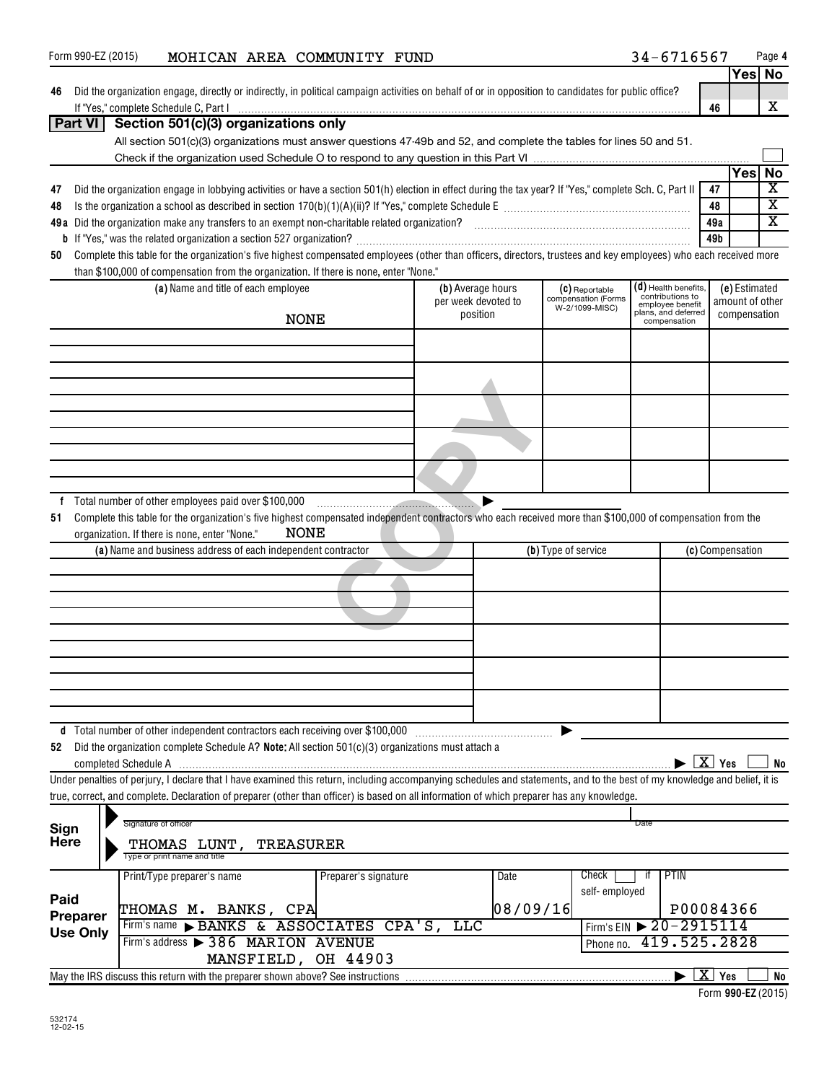| Form 990-EZ (2015)                                  |                      |                                                                                                               |             | MOHICAN AREA COMMUNITY FUND |                                                                                                                                                                                                                |      |                     |                                       | 34-6716567                           |                        |                 | Page 4                  |
|-----------------------------------------------------|----------------------|---------------------------------------------------------------------------------------------------------------|-------------|-----------------------------|----------------------------------------------------------------------------------------------------------------------------------------------------------------------------------------------------------------|------|---------------------|---------------------------------------|--------------------------------------|------------------------|-----------------|-------------------------|
|                                                     |                      |                                                                                                               |             |                             |                                                                                                                                                                                                                |      |                     |                                       |                                      |                        |                 | Yes No                  |
| 46                                                  |                      |                                                                                                               |             |                             | Did the organization engage, directly or indirectly, in political campaign activities on behalf of or in opposition to candidates for public office?                                                           |      |                     |                                       |                                      |                        |                 |                         |
|                                                     |                      |                                                                                                               |             |                             | If "Yes," complete Schedule C, Part I <u>www.communications.communications.communications.com</u>                                                                                                              |      |                     |                                       |                                      | 46                     |                 | X                       |
| Part VI                                             |                      | Section 501(c)(3) organizations only                                                                          |             |                             |                                                                                                                                                                                                                |      |                     |                                       |                                      |                        |                 |                         |
|                                                     |                      |                                                                                                               |             |                             | All section 501(c)(3) organizations must answer questions 47-49b and 52, and complete the tables for lines 50 and 51.                                                                                          |      |                     |                                       |                                      |                        |                 |                         |
|                                                     |                      |                                                                                                               |             |                             |                                                                                                                                                                                                                |      |                     |                                       |                                      |                        |                 |                         |
|                                                     |                      |                                                                                                               |             |                             |                                                                                                                                                                                                                |      |                     |                                       |                                      |                        | <b>Yes</b>      | No                      |
| 47                                                  |                      |                                                                                                               |             |                             | Did the organization engage in lobbying activities or have a section 501(h) election in effect during the tax year? If "Yes," complete Sch. C, Part II                                                         |      |                     |                                       |                                      | 47                     |                 | $\overline{\mathbf{X}}$ |
| 48                                                  |                      |                                                                                                               |             |                             |                                                                                                                                                                                                                |      |                     |                                       |                                      | 48                     |                 | $\overline{\mathbf{X}}$ |
|                                                     |                      |                                                                                                               |             |                             | 49a Did the organization make any transfers to an exempt non-charitable related organization?<br>2010 min. matter or matter containers and the original continuum matter controller that the control of the se |      |                     |                                       |                                      | 49a                    |                 | $\overline{\mathbf{X}}$ |
|                                                     |                      |                                                                                                               |             |                             |                                                                                                                                                                                                                |      |                     |                                       |                                      | 49b                    |                 |                         |
| 50                                                  |                      |                                                                                                               |             |                             | Complete this table for the organization's five highest compensated employees (other than officers, directors, trustees and key employees) who each received more                                              |      |                     |                                       |                                      |                        |                 |                         |
|                                                     |                      | than \$100,000 of compensation from the organization. If there is none, enter "None."                         |             |                             |                                                                                                                                                                                                                |      |                     |                                       |                                      |                        |                 |                         |
|                                                     |                      | (a) Name and title of each employee                                                                           |             |                             | (b) Average hours                                                                                                                                                                                              |      |                     | (C) Reportable                        | (d) Health benefits,                 |                        | (e) Estimated   |                         |
|                                                     |                      |                                                                                                               |             |                             | per week devoted to                                                                                                                                                                                            |      |                     | compensation (Forms<br>W-2/1099-MISC) | contributions to<br>employee benefit |                        | amount of other |                         |
|                                                     |                      |                                                                                                               | <b>NONE</b> |                             | position                                                                                                                                                                                                       |      |                     |                                       | plans, and deferred<br>compensation  |                        | compensation    |                         |
|                                                     |                      |                                                                                                               |             |                             |                                                                                                                                                                                                                |      |                     |                                       |                                      |                        |                 |                         |
|                                                     |                      |                                                                                                               |             |                             |                                                                                                                                                                                                                |      |                     |                                       |                                      |                        |                 |                         |
|                                                     |                      |                                                                                                               |             |                             |                                                                                                                                                                                                                |      |                     |                                       |                                      |                        |                 |                         |
|                                                     |                      |                                                                                                               |             |                             |                                                                                                                                                                                                                |      |                     |                                       |                                      |                        |                 |                         |
|                                                     |                      |                                                                                                               |             |                             |                                                                                                                                                                                                                |      |                     |                                       |                                      |                        |                 |                         |
|                                                     |                      |                                                                                                               |             |                             |                                                                                                                                                                                                                |      |                     |                                       |                                      |                        |                 |                         |
|                                                     |                      |                                                                                                               |             |                             |                                                                                                                                                                                                                |      |                     |                                       |                                      |                        |                 |                         |
|                                                     |                      |                                                                                                               |             |                             |                                                                                                                                                                                                                |      |                     |                                       |                                      |                        |                 |                         |
|                                                     |                      |                                                                                                               |             |                             |                                                                                                                                                                                                                |      |                     |                                       |                                      |                        |                 |                         |
|                                                     |                      |                                                                                                               |             |                             |                                                                                                                                                                                                                |      |                     |                                       |                                      |                        |                 |                         |
|                                                     |                      | organization. If there is none, enter "None."<br>(a) Name and business address of each independent contractor | NONE        |                             |                                                                                                                                                                                                                |      | (b) Type of service |                                       |                                      | (c) Compensation       |                 |                         |
|                                                     |                      |                                                                                                               |             |                             |                                                                                                                                                                                                                |      |                     |                                       |                                      |                        |                 |                         |
|                                                     |                      |                                                                                                               |             |                             |                                                                                                                                                                                                                |      |                     |                                       |                                      |                        |                 |                         |
|                                                     |                      |                                                                                                               |             |                             |                                                                                                                                                                                                                |      |                     |                                       |                                      |                        |                 |                         |
|                                                     |                      |                                                                                                               |             |                             |                                                                                                                                                                                                                |      |                     |                                       |                                      |                        |                 |                         |
|                                                     |                      |                                                                                                               |             |                             |                                                                                                                                                                                                                |      |                     |                                       |                                      |                        |                 |                         |
|                                                     |                      |                                                                                                               |             |                             |                                                                                                                                                                                                                |      |                     |                                       |                                      |                        |                 |                         |
|                                                     |                      |                                                                                                               |             |                             |                                                                                                                                                                                                                |      |                     |                                       |                                      |                        |                 |                         |
|                                                     |                      |                                                                                                               |             |                             |                                                                                                                                                                                                                |      |                     |                                       |                                      |                        |                 |                         |
|                                                     |                      |                                                                                                               |             |                             |                                                                                                                                                                                                                |      |                     |                                       |                                      |                        |                 |                         |
|                                                     |                      |                                                                                                               |             |                             |                                                                                                                                                                                                                |      |                     |                                       |                                      |                        |                 |                         |
|                                                     |                      | d Total number of other independent contractors each receiving over \$100,000                                 |             |                             |                                                                                                                                                                                                                |      |                     |                                       |                                      |                        |                 |                         |
| 52                                                  |                      |                                                                                                               |             |                             | Did the organization complete Schedule A? Note: All section 501(c)(3) organizations must attach a                                                                                                              |      |                     |                                       |                                      |                        |                 |                         |
|                                                     | completed Schedule A |                                                                                                               |             |                             |                                                                                                                                                                                                                |      |                     |                                       |                                      | $\boxed{\text{X}}$ Yes |                 | No                      |
|                                                     |                      |                                                                                                               |             |                             | Under penalties of perjury, I declare that I have examined this return, including accompanying schedules and statements, and to the best of my knowledge and belief, it is                                     |      |                     |                                       |                                      |                        |                 |                         |
|                                                     |                      |                                                                                                               |             |                             | true, correct, and complete. Declaration of preparer (other than officer) is based on all information of which preparer has any knowledge.                                                                     |      |                     |                                       |                                      |                        |                 |                         |
|                                                     |                      |                                                                                                               |             |                             |                                                                                                                                                                                                                |      |                     |                                       |                                      |                        |                 |                         |
| Sign                                                |                      | Signature of officer                                                                                          |             |                             |                                                                                                                                                                                                                |      |                     |                                       | Date                                 |                        |                 |                         |
| <b>Here</b>                                         |                      | THOMAS LUNT,                                                                                                  | TREASURER   |                             |                                                                                                                                                                                                                |      |                     |                                       |                                      |                        |                 |                         |
|                                                     |                      | Type or print name and title                                                                                  |             |                             |                                                                                                                                                                                                                |      |                     |                                       |                                      |                        |                 |                         |
|                                                     |                      | Print/Type preparer's name                                                                                    |             | Preparer's signature        |                                                                                                                                                                                                                | Date |                     | Check                                 | <b>PTIN</b><br>ΙŤ                    |                        |                 |                         |
| Paid                                                |                      |                                                                                                               |             |                             |                                                                                                                                                                                                                |      |                     | self-employed                         |                                      |                        |                 |                         |
| 08/09/16<br>THOMAS M. BANKS, CPA<br><b>Preparer</b> |                      |                                                                                                               |             |                             |                                                                                                                                                                                                                |      |                     |                                       |                                      | P00084366              |                 |                         |
| <b>Use Only</b>                                     |                      | Firm's name BANKS & ASSOCIATES CPA'S,                                                                         |             |                             | <b>TTC</b>                                                                                                                                                                                                     |      |                     |                                       | Firm's EIN > 20-2915114              |                        |                 |                         |
|                                                     |                      | Firm's address > 386 MARION AVENUE                                                                            |             |                             |                                                                                                                                                                                                                |      |                     | Phone no.                             |                                      | 419.525.2828           |                 |                         |
|                                                     |                      |                                                                                                               |             | MANSFIELD, OH 44903         |                                                                                                                                                                                                                |      |                     |                                       |                                      |                        |                 |                         |
|                                                     |                      |                                                                                                               |             |                             |                                                                                                                                                                                                                |      |                     |                                       |                                      | $X$ Yes                |                 | <b>No</b>               |

**990-EZ**  Form (2015)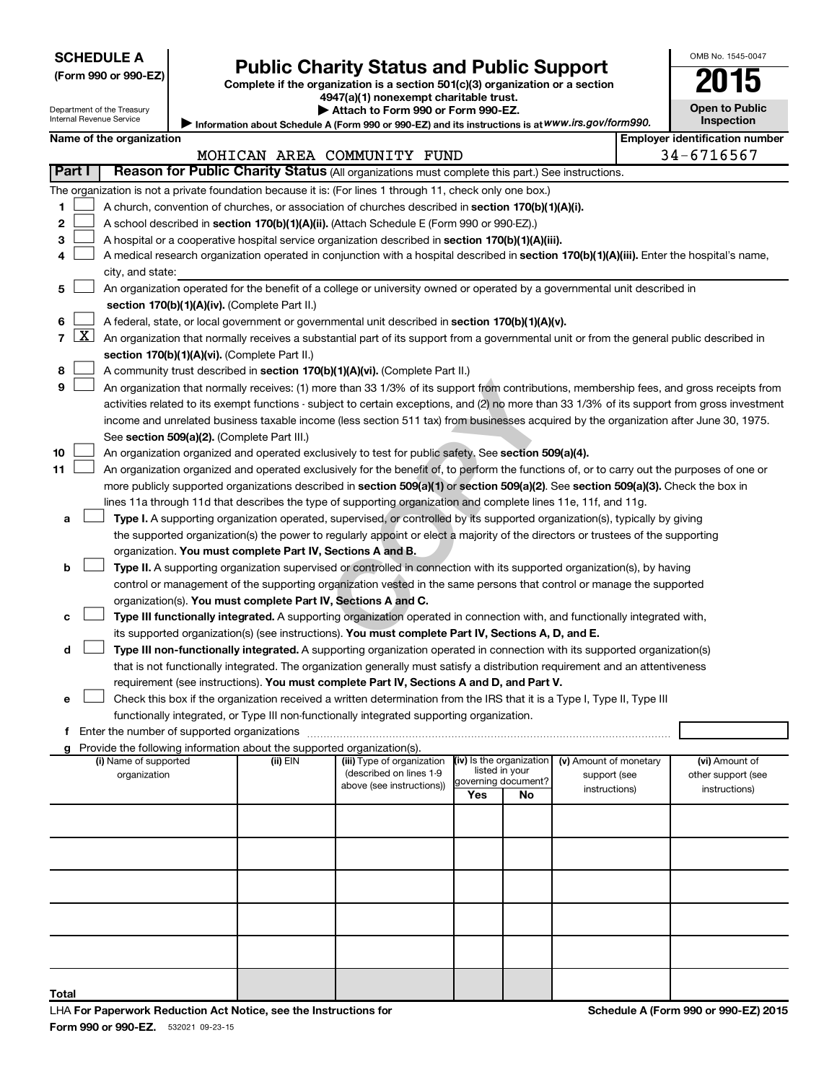Department of the Treasury Internal Revenue Service

| (Form 990 or 990-EZ) |  |  |  |  |
|----------------------|--|--|--|--|
|----------------------|--|--|--|--|

# Form 990 or 990-EZ) **Public Charity Status and Public Support**<br>
Complete if the organization is a section 501(c)(3) organization or a section<br> **2015**

**4947(a)(1) nonexempt charitable trust.**

| Attach to Form 990 or Form 990-EZ. |  |  |
|------------------------------------|--|--|
|------------------------------------|--|--|

**Information about Schedule A (Form 990 or 990-EZ) and its instructions is at |**  *www.irs.gov/form990.*

| <b>Open to Public</b><br>Inspection |
|-------------------------------------|

OMB No. 1545-0047

|  | Name of the organization |
|--|--------------------------|
|--|--------------------------|

|                     | <b>Employer identification number</b><br>Name of the organization                                                                            |                                                                                                                                                                                      |          |                                                      |                                            |    |                        |  |                    |  |  |  |
|---------------------|----------------------------------------------------------------------------------------------------------------------------------------------|--------------------------------------------------------------------------------------------------------------------------------------------------------------------------------------|----------|------------------------------------------------------|--------------------------------------------|----|------------------------|--|--------------------|--|--|--|
|                     | 34-6716567<br>MOHICAN AREA COMMUNITY FUND<br>Reason for Public Charity Status (All organizations must complete this part.) See instructions. |                                                                                                                                                                                      |          |                                                      |                                            |    |                        |  |                    |  |  |  |
| Part I              |                                                                                                                                              |                                                                                                                                                                                      |          |                                                      |                                            |    |                        |  |                    |  |  |  |
|                     |                                                                                                                                              | The organization is not a private foundation because it is: (For lines 1 through 11, check only one box.)                                                                            |          |                                                      |                                            |    |                        |  |                    |  |  |  |
| 1                   |                                                                                                                                              | A church, convention of churches, or association of churches described in section 170(b)(1)(A)(i).                                                                                   |          |                                                      |                                            |    |                        |  |                    |  |  |  |
| 2                   |                                                                                                                                              | A school described in section 170(b)(1)(A)(ii). (Attach Schedule E (Form 990 or 990-EZ).)                                                                                            |          |                                                      |                                            |    |                        |  |                    |  |  |  |
| 3                   |                                                                                                                                              | A hospital or a cooperative hospital service organization described in section 170(b)(1)(A)(iii).                                                                                    |          |                                                      |                                            |    |                        |  |                    |  |  |  |
| 4                   |                                                                                                                                              | A medical research organization operated in conjunction with a hospital described in section 170(b)(1)(A)(iii). Enter the hospital's name,                                           |          |                                                      |                                            |    |                        |  |                    |  |  |  |
|                     |                                                                                                                                              | city, and state:                                                                                                                                                                     |          |                                                      |                                            |    |                        |  |                    |  |  |  |
| 5                   |                                                                                                                                              | An organization operated for the benefit of a college or university owned or operated by a governmental unit described in                                                            |          |                                                      |                                            |    |                        |  |                    |  |  |  |
|                     |                                                                                                                                              | section 170(b)(1)(A)(iv). (Complete Part II.)                                                                                                                                        |          |                                                      |                                            |    |                        |  |                    |  |  |  |
| 6<br>$\overline{7}$ | $\boxed{\text{X}}$                                                                                                                           | A federal, state, or local government or governmental unit described in section 170(b)(1)(A)(v).                                                                                     |          |                                                      |                                            |    |                        |  |                    |  |  |  |
|                     |                                                                                                                                              | An organization that normally receives a substantial part of its support from a governmental unit or from the general public described in                                            |          |                                                      |                                            |    |                        |  |                    |  |  |  |
|                     |                                                                                                                                              | section 170(b)(1)(A)(vi). (Complete Part II.)                                                                                                                                        |          |                                                      |                                            |    |                        |  |                    |  |  |  |
| 8                   |                                                                                                                                              | A community trust described in section 170(b)(1)(A)(vi). (Complete Part II.)                                                                                                         |          |                                                      |                                            |    |                        |  |                    |  |  |  |
| 9                   |                                                                                                                                              | An organization that normally receives: (1) more than 33 1/3% of its support from contributions, membership fees, and gross receipts from                                            |          |                                                      |                                            |    |                        |  |                    |  |  |  |
|                     |                                                                                                                                              | activities related to its exempt functions - subject to certain exceptions, and (2) no more than 33 1/3% of its support from gross investment                                        |          |                                                      |                                            |    |                        |  |                    |  |  |  |
|                     |                                                                                                                                              | income and unrelated business taxable income (less section 511 tax) from businesses acquired by the organization after June 30, 1975.<br>See section 509(a)(2). (Complete Part III.) |          |                                                      |                                            |    |                        |  |                    |  |  |  |
| 10                  |                                                                                                                                              | An organization organized and operated exclusively to test for public safety. See section 509(a)(4).                                                                                 |          |                                                      |                                            |    |                        |  |                    |  |  |  |
| 11                  |                                                                                                                                              | An organization organized and operated exclusively for the benefit of, to perform the functions of, or to carry out the purposes of one or                                           |          |                                                      |                                            |    |                        |  |                    |  |  |  |
|                     |                                                                                                                                              | more publicly supported organizations described in section 509(a)(1) or section 509(a)(2). See section 509(a)(3). Check the box in                                                   |          |                                                      |                                            |    |                        |  |                    |  |  |  |
|                     |                                                                                                                                              | lines 11a through 11d that describes the type of supporting organization and complete lines 11e, 11f, and 11g.                                                                       |          |                                                      |                                            |    |                        |  |                    |  |  |  |
| а                   |                                                                                                                                              | Type I. A supporting organization operated, supervised, or controlled by its supported organization(s), typically by giving                                                          |          |                                                      |                                            |    |                        |  |                    |  |  |  |
|                     |                                                                                                                                              | the supported organization(s) the power to regularly appoint or elect a majority of the directors or trustees of the supporting                                                      |          |                                                      |                                            |    |                        |  |                    |  |  |  |
|                     |                                                                                                                                              | organization. You must complete Part IV, Sections A and B.                                                                                                                           |          |                                                      |                                            |    |                        |  |                    |  |  |  |
| b                   |                                                                                                                                              | Type II. A supporting organization supervised or controlled in connection with its supported organization(s), by having                                                              |          |                                                      |                                            |    |                        |  |                    |  |  |  |
|                     |                                                                                                                                              | control or management of the supporting organization vested in the same persons that control or manage the supported                                                                 |          |                                                      |                                            |    |                        |  |                    |  |  |  |
|                     |                                                                                                                                              | organization(s). You must complete Part IV, Sections A and C.                                                                                                                        |          |                                                      |                                            |    |                        |  |                    |  |  |  |
|                     |                                                                                                                                              | Type III functionally integrated. A supporting organization operated in connection with, and functionally integrated with,                                                           |          |                                                      |                                            |    |                        |  |                    |  |  |  |
|                     |                                                                                                                                              | its supported organization(s) (see instructions). You must complete Part IV, Sections A, D, and E.                                                                                   |          |                                                      |                                            |    |                        |  |                    |  |  |  |
| d                   |                                                                                                                                              | Type III non-functionally integrated. A supporting organization operated in connection with its supported organization(s)                                                            |          |                                                      |                                            |    |                        |  |                    |  |  |  |
|                     |                                                                                                                                              | that is not functionally integrated. The organization generally must satisfy a distribution requirement and an attentiveness                                                         |          |                                                      |                                            |    |                        |  |                    |  |  |  |
|                     |                                                                                                                                              | requirement (see instructions). You must complete Part IV, Sections A and D, and Part V.                                                                                             |          |                                                      |                                            |    |                        |  |                    |  |  |  |
| е                   |                                                                                                                                              | Check this box if the organization received a written determination from the IRS that it is a Type I, Type II, Type III                                                              |          |                                                      |                                            |    |                        |  |                    |  |  |  |
|                     |                                                                                                                                              | functionally integrated, or Type III non-functionally integrated supporting organization.                                                                                            |          |                                                      |                                            |    |                        |  |                    |  |  |  |
|                     |                                                                                                                                              |                                                                                                                                                                                      |          |                                                      |                                            |    |                        |  |                    |  |  |  |
|                     |                                                                                                                                              | g Provide the following information about the supported organization(s).                                                                                                             |          |                                                      |                                            |    |                        |  |                    |  |  |  |
|                     |                                                                                                                                              | (i) Name of supported                                                                                                                                                                | (ii) EIN | (iii) Type of organization                           | (iv) Is the organization<br>listed in your |    | (v) Amount of monetary |  | (vi) Amount of     |  |  |  |
|                     |                                                                                                                                              | organization                                                                                                                                                                         |          | (described on lines 1-9<br>above (see instructions)) | governing document?                        |    | support (see           |  | other support (see |  |  |  |
|                     |                                                                                                                                              |                                                                                                                                                                                      |          |                                                      | Yes                                        | No | instructions)          |  | instructions)      |  |  |  |
|                     |                                                                                                                                              |                                                                                                                                                                                      |          |                                                      |                                            |    |                        |  |                    |  |  |  |
|                     |                                                                                                                                              |                                                                                                                                                                                      |          |                                                      |                                            |    |                        |  |                    |  |  |  |
|                     |                                                                                                                                              |                                                                                                                                                                                      |          |                                                      |                                            |    |                        |  |                    |  |  |  |
|                     |                                                                                                                                              |                                                                                                                                                                                      |          |                                                      |                                            |    |                        |  |                    |  |  |  |
|                     |                                                                                                                                              |                                                                                                                                                                                      |          |                                                      |                                            |    |                        |  |                    |  |  |  |
|                     |                                                                                                                                              |                                                                                                                                                                                      |          |                                                      |                                            |    |                        |  |                    |  |  |  |
|                     |                                                                                                                                              |                                                                                                                                                                                      |          |                                                      |                                            |    |                        |  |                    |  |  |  |
|                     |                                                                                                                                              |                                                                                                                                                                                      |          |                                                      |                                            |    |                        |  |                    |  |  |  |
| Total               |                                                                                                                                              |                                                                                                                                                                                      |          |                                                      |                                            |    |                        |  |                    |  |  |  |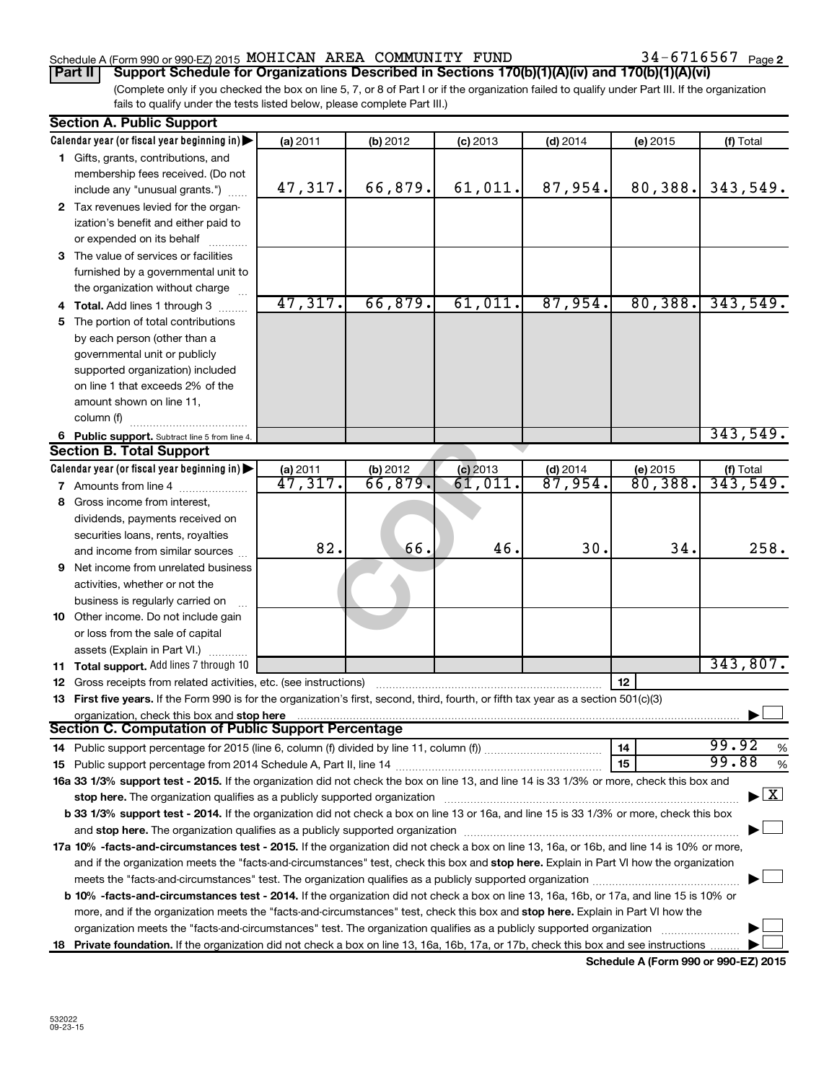### Schedule A (Form 990 or 990-EZ) 2015 MOHICAN AREA COMMUNITY FUND  $34-6716567$  Page

34-6716567 Page 2

(Complete only if you checked the box on line 5, 7, or 8 of Part I or if the organization failed to qualify under Part III. If the organization fails to qualify under the tests listed below, please complete Part III.) **Part II Support Schedule for Organizations Described in Sections 170(b)(1)(A)(iv) and 170(b)(1)(A)(vi)**

|    | <b>Section A. Public Support</b>                                                                                                                                                                                               |                       |          |            |                       |          |                                          |
|----|--------------------------------------------------------------------------------------------------------------------------------------------------------------------------------------------------------------------------------|-----------------------|----------|------------|-----------------------|----------|------------------------------------------|
|    | Calendar year (or fiscal year beginning in)                                                                                                                                                                                    | (a) 2011              | (b) 2012 | $(c)$ 2013 | $(d)$ 2014            | (e) 2015 | (f) Total                                |
|    | 1 Gifts, grants, contributions, and                                                                                                                                                                                            |                       |          |            |                       |          |                                          |
|    | membership fees received. (Do not                                                                                                                                                                                              |                       |          |            |                       |          |                                          |
|    | include any "unusual grants.")                                                                                                                                                                                                 | 47,317.               | 66,879.  | 61,011.    | 87,954.               | 80,388.  | 343,549.                                 |
|    | 2 Tax revenues levied for the organ-                                                                                                                                                                                           |                       |          |            |                       |          |                                          |
|    | ization's benefit and either paid to                                                                                                                                                                                           |                       |          |            |                       |          |                                          |
|    | or expended on its behalf                                                                                                                                                                                                      |                       |          |            |                       |          |                                          |
|    | 3 The value of services or facilities                                                                                                                                                                                          |                       |          |            |                       |          |                                          |
|    | furnished by a governmental unit to                                                                                                                                                                                            |                       |          |            |                       |          |                                          |
|    | the organization without charge                                                                                                                                                                                                |                       |          |            |                       |          |                                          |
|    | 4 Total. Add lines 1 through 3                                                                                                                                                                                                 | 47,317.               | 66,879.  | 61,011.    | 87,954.               | 80,388.  | 343,549.                                 |
| 5. | The portion of total contributions                                                                                                                                                                                             |                       |          |            |                       |          |                                          |
|    | by each person (other than a                                                                                                                                                                                                   |                       |          |            |                       |          |                                          |
|    | governmental unit or publicly                                                                                                                                                                                                  |                       |          |            |                       |          |                                          |
|    | supported organization) included                                                                                                                                                                                               |                       |          |            |                       |          |                                          |
|    | on line 1 that exceeds 2% of the                                                                                                                                                                                               |                       |          |            |                       |          |                                          |
|    | amount shown on line 11,                                                                                                                                                                                                       |                       |          |            |                       |          |                                          |
|    | column (f)                                                                                                                                                                                                                     |                       |          |            |                       |          |                                          |
|    | 6 Public support. Subtract line 5 from line 4.                                                                                                                                                                                 |                       |          |            |                       |          | 343,549.                                 |
|    | <b>Section B. Total Support</b>                                                                                                                                                                                                |                       |          |            |                       |          |                                          |
|    | Calendar year (or fiscal year beginning in)                                                                                                                                                                                    | (a) 2011              | (b) 2012 | $(c)$ 2013 | $(d)$ 2014            | (e) 2015 |                                          |
|    | <b>7</b> Amounts from line 4                                                                                                                                                                                                   | $\overline{47,317}$ . | 66,879.  | 61,011     | $\overline{87,954}$ . | 80,388.  | (f) Total $343, 549$ .                   |
|    | 8 Gross income from interest,                                                                                                                                                                                                  |                       |          |            |                       |          |                                          |
|    | dividends, payments received on                                                                                                                                                                                                |                       |          |            |                       |          |                                          |
|    | securities loans, rents, royalties                                                                                                                                                                                             |                       |          |            |                       |          |                                          |
|    | and income from similar sources                                                                                                                                                                                                | 82.                   | 66.      | 46         | 30.                   | 34.      | 258.                                     |
|    | <b>9</b> Net income from unrelated business                                                                                                                                                                                    |                       |          |            |                       |          |                                          |
|    | activities, whether or not the                                                                                                                                                                                                 |                       |          |            |                       |          |                                          |
|    | business is regularly carried on                                                                                                                                                                                               |                       |          |            |                       |          |                                          |
|    | 10 Other income. Do not include gain                                                                                                                                                                                           |                       |          |            |                       |          |                                          |
|    | or loss from the sale of capital                                                                                                                                                                                               |                       |          |            |                       |          |                                          |
|    | assets (Explain in Part VI.)                                                                                                                                                                                                   |                       |          |            |                       |          |                                          |
|    | 11 Total support. Add lines 7 through 10                                                                                                                                                                                       |                       |          |            |                       |          | 343,807.                                 |
|    | <b>12</b> Gross receipts from related activities, etc. (see instructions)                                                                                                                                                      |                       |          |            |                       | 12       |                                          |
|    | 13 First five years. If the Form 990 is for the organization's first, second, third, fourth, or fifth tax year as a section 501(c)(3)                                                                                          |                       |          |            |                       |          |                                          |
|    | organization, check this box and stop here                                                                                                                                                                                     |                       |          |            |                       |          |                                          |
|    | Section C. Computation of Public Support Percentage                                                                                                                                                                            |                       |          |            |                       |          |                                          |
|    |                                                                                                                                                                                                                                |                       |          |            |                       | 14       | 99.92<br>$\%$                            |
|    |                                                                                                                                                                                                                                |                       |          |            |                       | 15       | 99.88<br>%                               |
|    | 16a 33 1/3% support test - 2015. If the organization did not check the box on line 13, and line 14 is 33 1/3% or more, check this box and                                                                                      |                       |          |            |                       |          |                                          |
|    | stop here. The organization qualifies as a publicly supported organization manufactured content and the support of the state of the state of the state of the state of the state of the state of the state of the state of the |                       |          |            |                       |          | $\blacktriangleright$ $\boxed{\text{X}}$ |
|    | b 33 1/3% support test - 2014. If the organization did not check a box on line 13 or 16a, and line 15 is 33 1/3% or more, check this box                                                                                       |                       |          |            |                       |          |                                          |
|    | and stop here. The organization qualifies as a publicly supported organization [11,111] and stop here. The organization [11] and stop here. The organization [11] and stop here. The organization [11] and stop here is a publ |                       |          |            |                       |          |                                          |
|    | 17a 10% -facts-and-circumstances test - 2015. If the organization did not check a box on line 13, 16a, or 16b, and line 14 is 10% or more,                                                                                     |                       |          |            |                       |          |                                          |
|    | and if the organization meets the "facts-and-circumstances" test, check this box and stop here. Explain in Part VI how the organization                                                                                        |                       |          |            |                       |          |                                          |
|    |                                                                                                                                                                                                                                |                       |          |            |                       |          |                                          |
|    | <b>b 10%</b> -facts-and-circumstances test - 2014. If the organization did not check a box on line 13, 16a, 16b, or 17a, and line 15 is 10% or                                                                                 |                       |          |            |                       |          |                                          |
|    |                                                                                                                                                                                                                                |                       |          |            |                       |          |                                          |
|    | more, and if the organization meets the "facts-and-circumstances" test, check this box and stop here. Explain in Part VI how the                                                                                               |                       |          |            |                       |          |                                          |
|    | organization meets the "facts-and-circumstances" test. The organization qualifies as a publicly supported organization                                                                                                         |                       |          |            |                       |          |                                          |
|    | 18 Private foundation. If the organization did not check a box on line 13, 16a, 16b, 17a, or 17b, check this box and see instructions                                                                                          |                       |          |            |                       |          |                                          |

**Schedule A (Form 990 or 990-EZ) 2015**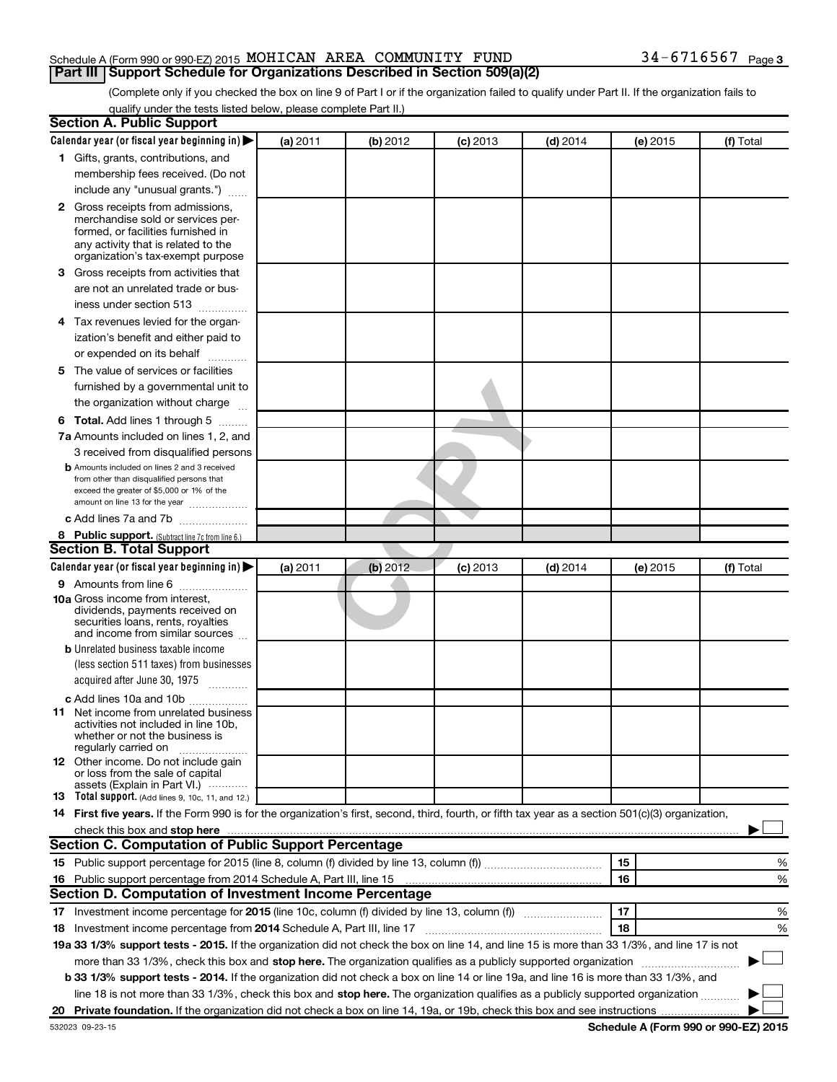### Schedule A (Form 990 or 990-EZ) 2015 MOHICAN AREA COMMUNITY FUND  $34-6716567$  Page **Part III Support Schedule for Organizations Described in Section 509(a)(2)**

(Complete only if you checked the box on line 9 of Part I or if the organization failed to qualify under Part II. If the organization fails to qualify under the tests listed below, please complete Part II.)

| <b>Section A. Public Support</b>                                                                                                                                                                                               |          |          |            |            |          |                                      |
|--------------------------------------------------------------------------------------------------------------------------------------------------------------------------------------------------------------------------------|----------|----------|------------|------------|----------|--------------------------------------|
| Calendar year (or fiscal year beginning in)                                                                                                                                                                                    | (a) 2011 | (b) 2012 | $(c)$ 2013 | $(d)$ 2014 | (e) 2015 | (f) Total                            |
| 1 Gifts, grants, contributions, and                                                                                                                                                                                            |          |          |            |            |          |                                      |
| membership fees received. (Do not                                                                                                                                                                                              |          |          |            |            |          |                                      |
| include any "unusual grants.")                                                                                                                                                                                                 |          |          |            |            |          |                                      |
| 2 Gross receipts from admissions,<br>merchandise sold or services per-<br>formed, or facilities furnished in<br>any activity that is related to the<br>organization's tax-exempt purpose                                       |          |          |            |            |          |                                      |
| 3 Gross receipts from activities that                                                                                                                                                                                          |          |          |            |            |          |                                      |
| are not an unrelated trade or bus-<br>iness under section 513                                                                                                                                                                  |          |          |            |            |          |                                      |
| 4 Tax revenues levied for the organ-                                                                                                                                                                                           |          |          |            |            |          |                                      |
| ization's benefit and either paid to                                                                                                                                                                                           |          |          |            |            |          |                                      |
| or expended on its behalf                                                                                                                                                                                                      |          |          |            |            |          |                                      |
| 5 The value of services or facilities                                                                                                                                                                                          |          |          |            |            |          |                                      |
| furnished by a governmental unit to                                                                                                                                                                                            |          |          |            |            |          |                                      |
| the organization without charge                                                                                                                                                                                                |          |          |            |            |          |                                      |
| <b>6 Total.</b> Add lines 1 through 5                                                                                                                                                                                          |          |          |            |            |          |                                      |
| 7a Amounts included on lines 1, 2, and                                                                                                                                                                                         |          |          |            |            |          |                                      |
| 3 received from disqualified persons                                                                                                                                                                                           |          |          |            |            |          |                                      |
| <b>b</b> Amounts included on lines 2 and 3 received<br>from other than disqualified persons that<br>exceed the greater of \$5,000 or 1% of the<br>amount on line 13 for the year                                               |          |          |            |            |          |                                      |
| c Add lines 7a and 7b                                                                                                                                                                                                          |          |          |            |            |          |                                      |
| 8 Public support. (Subtract line 7c from line 6.)                                                                                                                                                                              |          |          |            |            |          |                                      |
| <b>Section B. Total Support</b>                                                                                                                                                                                                |          |          |            |            |          |                                      |
| Calendar year (or fiscal year beginning in) $\blacktriangleright$                                                                                                                                                              | (a) 2011 | (b) 2012 | $(c)$ 2013 | $(d)$ 2014 | (e) 2015 | (f) Total                            |
| <b>9</b> Amounts from line 6                                                                                                                                                                                                   |          |          |            |            |          |                                      |
| <b>10a</b> Gross income from interest,<br>dividends, payments received on<br>securities loans, rents, royalties<br>and income from similar sources                                                                             |          |          |            |            |          |                                      |
| <b>b</b> Unrelated business taxable income                                                                                                                                                                                     |          |          |            |            |          |                                      |
| (less section 511 taxes) from businesses<br>acquired after June 30, 1975<br>1.1.1.1.1.1.1.1.1                                                                                                                                  |          |          |            |            |          |                                      |
| c Add lines 10a and 10b                                                                                                                                                                                                        |          |          |            |            |          |                                      |
| <b>11</b> Net income from unrelated business<br>activities not included in line 10b.<br>whether or not the business is<br>regularly carried on                                                                                 |          |          |            |            |          |                                      |
| 12 Other income. Do not include gain<br>or loss from the sale of capital<br>assets (Explain in Part VI.)                                                                                                                       |          |          |            |            |          |                                      |
| <b>13</b> Total support. (Add lines 9, 10c, 11, and 12.)                                                                                                                                                                       |          |          |            |            |          |                                      |
| 14 First five years. If the Form 990 is for the organization's first, second, third, fourth, or fifth tax year as a section 501(c)(3) organization,                                                                            |          |          |            |            |          |                                      |
| check this box and stop here Mathematical Communication and stop here Mathematical Communication and stop here Mathematical Communication and Stop here Mathematical Communication and Stop here Mathematical Communication an |          |          |            |            |          |                                      |
| <b>Section C. Computation of Public Support Percentage</b>                                                                                                                                                                     |          |          |            |            |          |                                      |
|                                                                                                                                                                                                                                |          |          |            |            | 15       | %                                    |
| 16 Public support percentage from 2014 Schedule A, Part III, line 15                                                                                                                                                           |          |          |            |            | 16       | %                                    |
| Section D. Computation of Investment Income Percentage                                                                                                                                                                         |          |          |            |            |          |                                      |
|                                                                                                                                                                                                                                |          |          |            |            | 17       | %                                    |
| 18 Investment income percentage from 2014 Schedule A, Part III, line 17                                                                                                                                                        |          |          |            |            | 18       | %                                    |
| 19a 33 1/3% support tests - 2015. If the organization did not check the box on line 14, and line 15 is more than 33 1/3%, and line 17 is not                                                                                   |          |          |            |            |          |                                      |
| more than 33 1/3%, check this box and stop here. The organization qualifies as a publicly supported organization                                                                                                               |          |          |            |            |          |                                      |
| <b>b 33 1/3% support tests - 2014.</b> If the organization did not check a box on line 14 or line 19a, and line 16 is more than 33 1/3%, and                                                                                   |          |          |            |            |          |                                      |
| line 18 is not more than 33 1/3%, check this box and stop here. The organization qualifies as a publicly supported organization                                                                                                |          |          |            |            |          |                                      |
|                                                                                                                                                                                                                                |          |          |            |            |          |                                      |
| 532023 09-23-15                                                                                                                                                                                                                |          |          |            |            |          | Schedule A (Form 990 or 990-EZ) 2015 |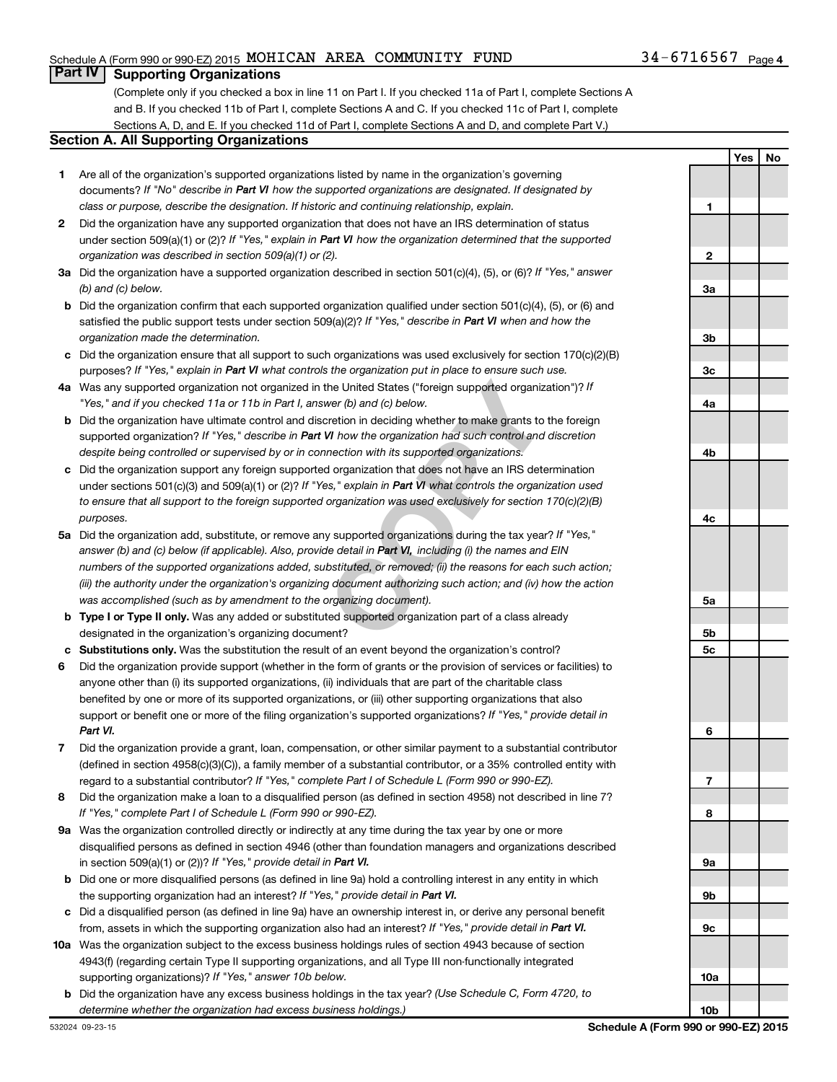### Schedule A (Form 990 or 990-EZ) 2015 MOHICAN AREA COMMUNITY FUND  $34-6716567$  Page

### **Part IV Supporting Organizations**

(Complete only if you checked a box in line 11 on Part I. If you checked 11a of Part I, complete Sections A and B. If you checked 11b of Part I, complete Sections A and C. If you checked 11c of Part I, complete Sections A, D, and E. If you checked 11d of Part I, complete Sections A and D, and complete Part V.)

### **Section A. All Supporting Organizations**

- **1** Are all of the organization's supported organizations listed by name in the organization's governing documents? If "No" describe in Part VI how the supported organizations are designated. If designated by *class or purpose, describe the designation. If historic and continuing relationship, explain.*
- **2** Did the organization have any supported organization that does not have an IRS determination of status under section 509(a)(1) or (2)? If "Yes," explain in Part VI how the organization determined that the supported *organization was described in section 509(a)(1) or (2).*
- **3a** Did the organization have a supported organization described in section 501(c)(4), (5), or (6)? If "Yes," answer *(b) and (c) below.*
- **b** Did the organization confirm that each supported organization qualified under section 501(c)(4), (5), or (6) and satisfied the public support tests under section 509(a)(2)? If "Yes," describe in Part VI when and how the *organization made the determination.*
- **c** Did the organization ensure that all support to such organizations was used exclusively for section 170(c)(2)(B) purposes? If "Yes," explain in Part VI what controls the organization put in place to ensure such use.
- **4 a** *If* Was any supported organization not organized in the United States ("foreign supported organization")? *"Yes," and if you checked 11a or 11b in Part I, answer (b) and (c) below.*
- **b** Did the organization have ultimate control and discretion in deciding whether to make grants to the foreign supported organization? If "Yes," describe in Part VI how the organization had such control and discretion *despite being controlled or supervised by or in connection with its supported organizations.*
- **c** Did the organization support any foreign supported organization that does not have an IRS determination under sections 501(c)(3) and 509(a)(1) or (2)? If "Yes," explain in Part VI what controls the organization used *to ensure that all support to the foreign supported organization was used exclusively for section 170(c)(2)(B) purposes.*
- the United States ("foreign supported organization")? *I*<br>wer (b) and (c) below.<br>Correction in deciding whether to make grants to the foreignal<br>W how the organization had such control and discretion<br>nection with its suppor **5a** Did the organization add, substitute, or remove any supported organizations during the tax year? If "Yes," answer (b) and (c) below (if applicable). Also, provide detail in Part VI, including (i) the names and EIN *numbers of the supported organizations added, substituted, or removed; (ii) the reasons for each such action; (iii) the authority under the organization's organizing document authorizing such action; and (iv) how the action was accomplished (such as by amendment to the organizing document).*
- **b** Type I or Type II only. Was any added or substituted supported organization part of a class already designated in the organization's organizing document?
- **c Substitutions only.**  Was the substitution the result of an event beyond the organization's control?
- **6** Did the organization provide support (whether in the form of grants or the provision of services or facilities) to support or benefit one or more of the filing organization's supported organizations? If "Yes," provide detail in anyone other than (i) its supported organizations, (ii) individuals that are part of the charitable class benefited by one or more of its supported organizations, or (iii) other supporting organizations that also *Part VI.*
- **7** Did the organization provide a grant, loan, compensation, or other similar payment to a substantial contributor regard to a substantial contributor? If "Yes," complete Part I of Schedule L (Form 990 or 990-EZ). (defined in section 4958(c)(3)(C)), a family member of a substantial contributor, or a 35% controlled entity with
- **8** Did the organization make a loan to a disqualified person (as defined in section 4958) not described in line 7? *If "Yes," complete Part I of Schedule L (Form 990 or 990-EZ).*
- **9 a** Was the organization controlled directly or indirectly at any time during the tax year by one or more in section 509(a)(1) or (2))? If "Yes," provide detail in Part VI. disqualified persons as defined in section 4946 (other than foundation managers and organizations described
- **b** Did one or more disqualified persons (as defined in line 9a) hold a controlling interest in any entity in which the supporting organization had an interest? If "Yes," provide detail in Part VI.
- **c** Did a disqualified person (as defined in line 9a) have an ownership interest in, or derive any personal benefit from, assets in which the supporting organization also had an interest? If "Yes," provide detail in Part VI.
- **10 a** Was the organization subject to the excess business holdings rules of section 4943 because of section supporting organizations)? If "Yes," answer 10b below. 4943(f) (regarding certain Type II supporting organizations, and all Type III non-functionally integrated
- **b** Did the organization have any excess business holdings in the tax year? (Use Schedule C, Form 4720, to *determine whether the organization had excess business holdings.)*

**Yes No 1 2 3a 3b 3c 4a 4b 4c 5a 5b 5c 6 7 8 9a 9b 9c 10a 10b**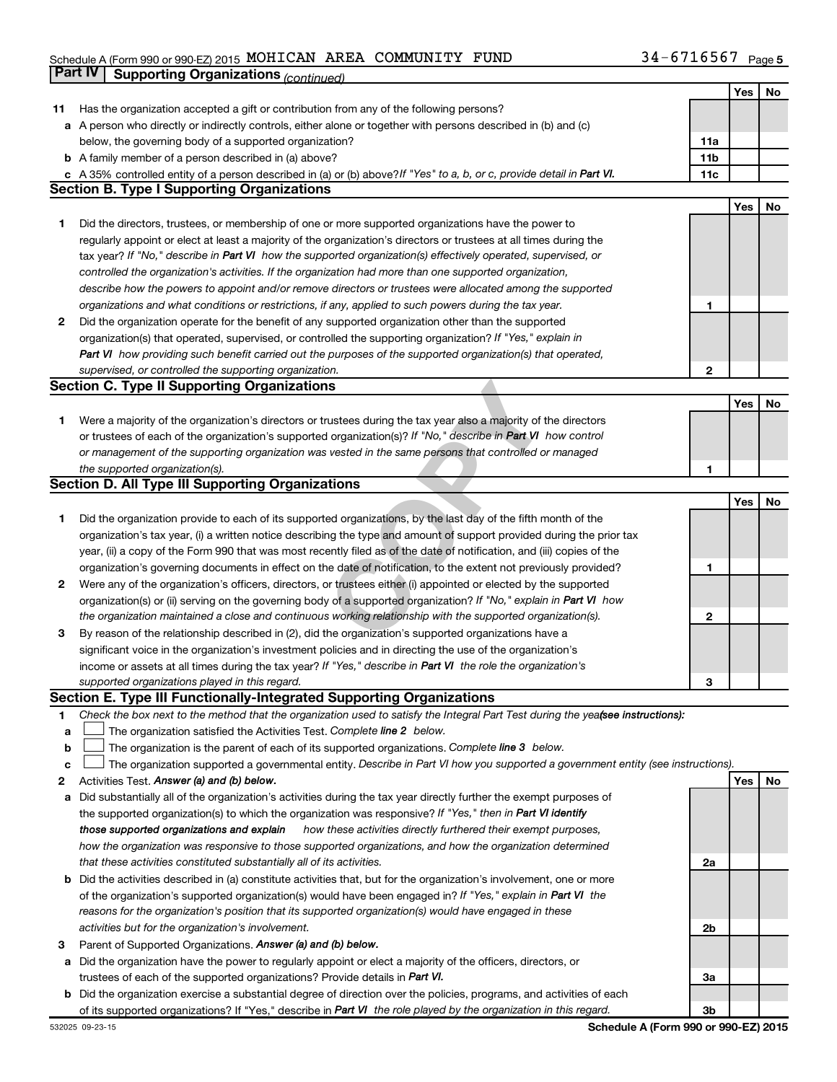### Schedule A (Form 990 or 990-EZ) 2015 MOHICAN AREA COMMUNITY FUND  $34-6716567$  Page **Part IV Supporting Organizations** *(continued)*

|        |                                                                                                                                                                                                           |     | Yes | No |
|--------|-----------------------------------------------------------------------------------------------------------------------------------------------------------------------------------------------------------|-----|-----|----|
| 11     | Has the organization accepted a gift or contribution from any of the following persons?                                                                                                                   |     |     |    |
|        | <b>a</b> A person who directly or indirectly controls, either alone or together with persons described in (b) and (c)                                                                                     |     |     |    |
|        | below, the governing body of a supported organization?                                                                                                                                                    | 11a |     |    |
|        | <b>b</b> A family member of a person described in (a) above?                                                                                                                                              | 11b |     |    |
|        | c A 35% controlled entity of a person described in (a) or (b) above? If "Yes" to a, b, or c, provide detail in Part VI.                                                                                   | 11c |     |    |
|        | <b>Section B. Type I Supporting Organizations</b>                                                                                                                                                         |     |     |    |
|        |                                                                                                                                                                                                           |     | Yes | No |
| 1.     | Did the directors, trustees, or membership of one or more supported organizations have the power to                                                                                                       |     |     |    |
|        | regularly appoint or elect at least a majority of the organization's directors or trustees at all times during the                                                                                        |     |     |    |
|        | tax year? If "No," describe in Part VI how the supported organization(s) effectively operated, supervised, or                                                                                             |     |     |    |
|        | controlled the organization's activities. If the organization had more than one supported organization,                                                                                                   |     |     |    |
|        | describe how the powers to appoint and/or remove directors or trustees were allocated among the supported                                                                                                 |     |     |    |
|        | organizations and what conditions or restrictions, if any, applied to such powers during the tax year.                                                                                                    | 1   |     |    |
| 2      | Did the organization operate for the benefit of any supported organization other than the supported                                                                                                       |     |     |    |
|        | organization(s) that operated, supervised, or controlled the supporting organization? If "Yes," explain in                                                                                                |     |     |    |
|        | Part VI how providing such benefit carried out the purposes of the supported organization(s) that operated,                                                                                               |     |     |    |
|        | supervised, or controlled the supporting organization.                                                                                                                                                    | 2   |     |    |
|        | <b>Section C. Type II Supporting Organizations</b>                                                                                                                                                        |     |     |    |
|        |                                                                                                                                                                                                           |     | Yes | No |
| 1.     | Were a majority of the organization's directors or trustees during the tax year also a majority of the directors                                                                                          |     |     |    |
|        | or trustees of each of the organization's supported organization(s)? If "No," describe in Part VI how control                                                                                             |     |     |    |
|        | or management of the supporting organization was vested in the same persons that controlled or managed                                                                                                    |     |     |    |
|        | the supported organization(s).                                                                                                                                                                            | 1   |     |    |
|        | <b>Section D. All Type III Supporting Organizations</b>                                                                                                                                                   |     |     |    |
|        |                                                                                                                                                                                                           |     | Yes | No |
| 1      | Did the organization provide to each of its supported organizations, by the last day of the fifth month of the                                                                                            |     |     |    |
|        | organization's tax year, (i) a written notice describing the type and amount of support provided during the prior tax                                                                                     |     |     |    |
|        | year, (ii) a copy of the Form 990 that was most recently filed as of the date of notification, and (iii) copies of the                                                                                    |     |     |    |
|        | organization's governing documents in effect on the date of notification, to the extent not previously provided?                                                                                          | 1   |     |    |
| 2      | Were any of the organization's officers, directors, or trustees either (i) appointed or elected by the supported                                                                                          |     |     |    |
|        | organization(s) or (ii) serving on the governing body of a supported organization? If "No," explain in Part VI how                                                                                        |     |     |    |
|        | the organization maintained a close and continuous working relationship with the supported organization(s).                                                                                               | 2   |     |    |
| 3      | By reason of the relationship described in (2), did the organization's supported organizations have a                                                                                                     |     |     |    |
|        | significant voice in the organization's investment policies and in directing the use of the organization's                                                                                                |     |     |    |
|        | income or assets at all times during the tax year? If "Yes," describe in Part VI the role the organization's                                                                                              |     |     |    |
|        | supported organizations played in this regard.<br>Section E. Type III Functionally-Integrated Supporting Organizations                                                                                    | З   |     |    |
|        |                                                                                                                                                                                                           |     |     |    |
| 1      | Check the box next to the method that the organization used to satisfy the Integral Part Test during the yeafsee instructions):<br>The organization satisfied the Activities Test. Complete line 2 below. |     |     |    |
| а<br>b | The organization is the parent of each of its supported organizations. Complete line 3 below.                                                                                                             |     |     |    |
| c      | The organization supported a governmental entity. Describe in Part VI how you supported a government entity (see instructions).                                                                           |     |     |    |
| 2      | Activities Test. Answer (a) and (b) below.                                                                                                                                                                |     | Yes | No |
| а      | Did substantially all of the organization's activities during the tax year directly further the exempt purposes of                                                                                        |     |     |    |
|        | the supported organization(s) to which the organization was responsive? If "Yes," then in Part VI identify                                                                                                |     |     |    |
|        | how these activities directly furthered their exempt purposes,<br>those supported organizations and explain                                                                                               |     |     |    |
|        | how the organization was responsive to those supported organizations, and how the organization determined                                                                                                 |     |     |    |
|        | that these activities constituted substantially all of its activities.                                                                                                                                    | 2a  |     |    |
| b      | Did the activities described in (a) constitute activities that, but for the organization's involvement, one or more                                                                                       |     |     |    |
|        | of the organization's supported organization(s) would have been engaged in? If "Yes," explain in Part VI the                                                                                              |     |     |    |
|        | reasons for the organization's position that its supported organization(s) would have engaged in these                                                                                                    |     |     |    |
|        | activities but for the organization's involvement.                                                                                                                                                        | 2b  |     |    |
| з      | Parent of Supported Organizations. Answer (a) and (b) below.                                                                                                                                              |     |     |    |
| а      | Did the organization have the power to regularly appoint or elect a majority of the officers, directors, or                                                                                               |     |     |    |
|        | trustees of each of the supported organizations? Provide details in Part VI.                                                                                                                              | За  |     |    |
|        | <b>b</b> Did the organization exercise a substantial degree of direction over the policies, programs, and activities of each                                                                              |     |     |    |
|        | of its supported organizations? If "Yes," describe in Part VI the role played by the organization in this regard.                                                                                         | 3b  |     |    |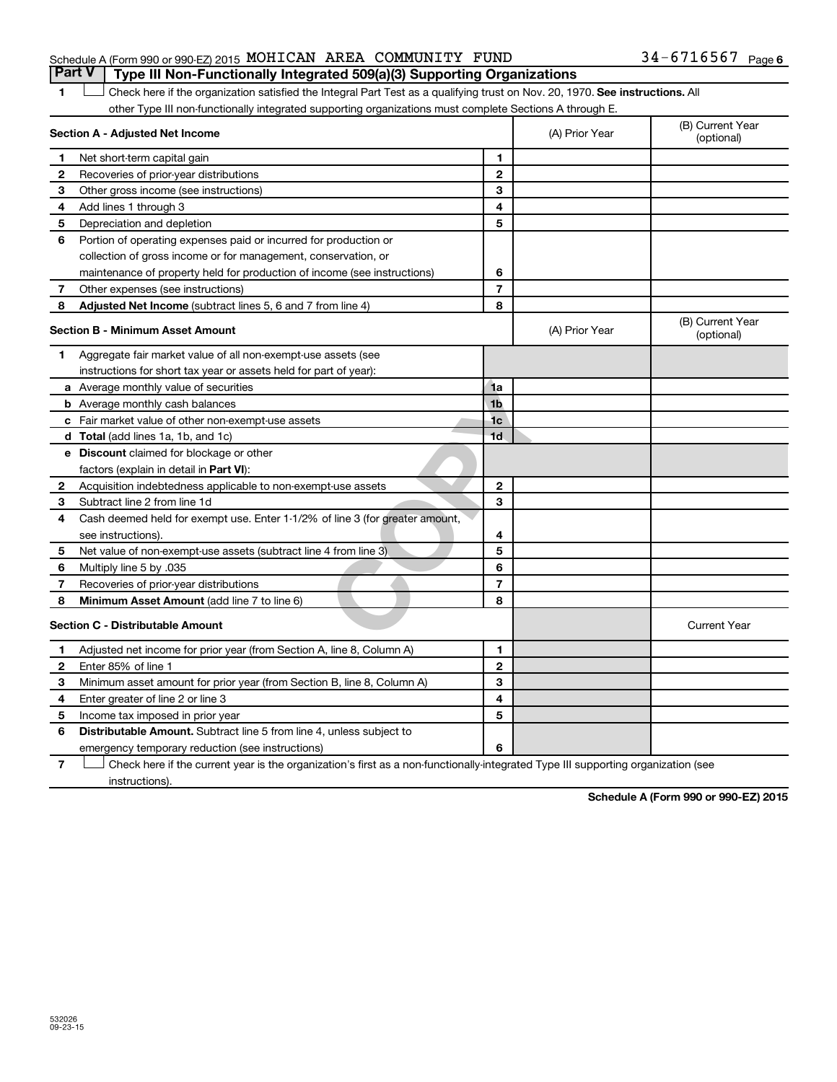### Schedule A (Form 990 or 990-EZ) 2015 MOHICAN AREA COMMUNITY FUND  $34-6716567$  Page

1 **Letter on Reck here if the organization satisfied the Integral Part Test as a qualifying trust on Nov. 20, 1970. See instructions. All** other Type III non-functionally integrated supporting organizations must complete Sections A through E. **Part V Type III Non-Functionally Integrated 509(a)(3) Supporting Organizations** 

| (B) Current Year<br>(optional) |
|--------------------------------|
|                                |
|                                |
|                                |
|                                |
|                                |
|                                |
|                                |
|                                |
|                                |
|                                |
|                                |
|                                |
|                                |
|                                |
|                                |
|                                |
| <b>Current Year</b>            |
|                                |
|                                |
|                                |
|                                |
|                                |
|                                |
|                                |
|                                |

**7** Let Check here if the current year is the organization's first as a non-functionally-integrated Type III supporting organization (see instructions).

**Schedule A (Form 990 or 990-EZ) 2015**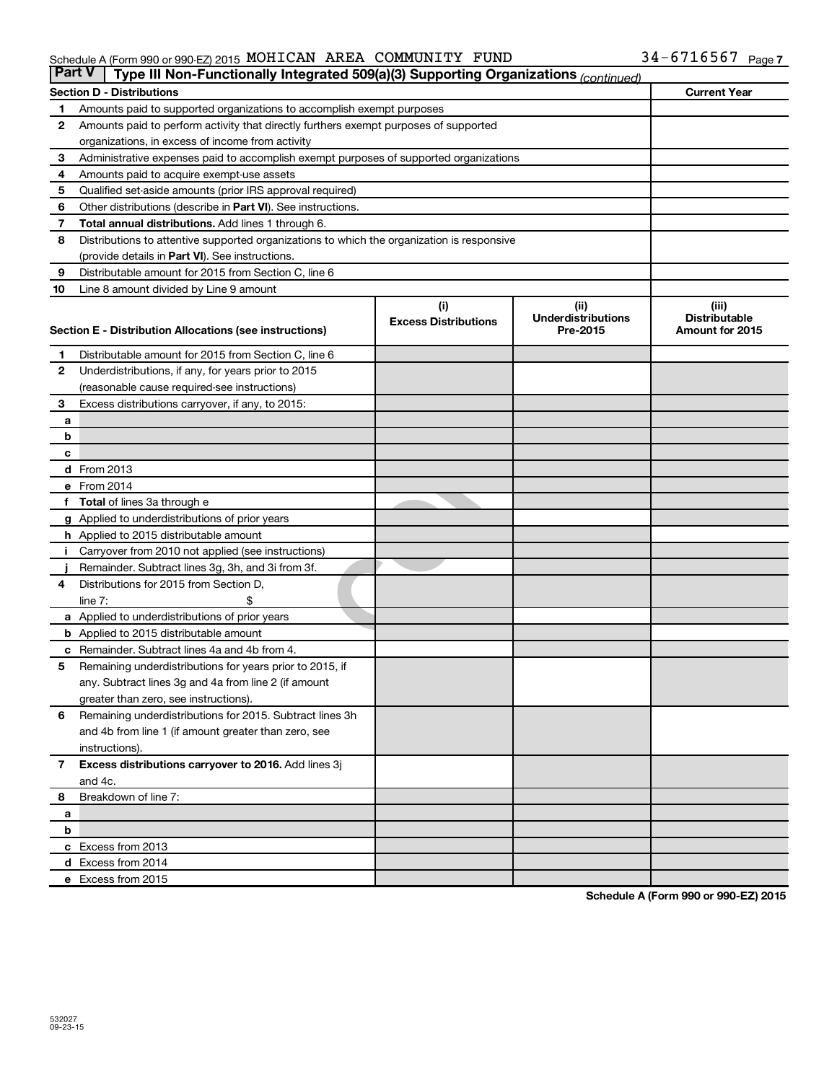#### Schedule A (Form 990 or 990-EZ) 2015 MOHICAN AREA COMMUNITY FUND 34-b / L656 / Page MOHICAN AREA COMMUNITY FUND 34-6716567

| <b>Part V</b><br>Type III Non-Functionally Integrated 509(a)(3) Supporting Organizations (continued) |                                                                                            |                             |                                       |                                         |  |
|------------------------------------------------------------------------------------------------------|--------------------------------------------------------------------------------------------|-----------------------------|---------------------------------------|-----------------------------------------|--|
| <b>Section D - Distributions</b>                                                                     |                                                                                            |                             |                                       |                                         |  |
| 1                                                                                                    | Amounts paid to supported organizations to accomplish exempt purposes                      |                             |                                       |                                         |  |
| 2                                                                                                    | Amounts paid to perform activity that directly furthers exempt purposes of supported       |                             |                                       |                                         |  |
|                                                                                                      | organizations, in excess of income from activity                                           |                             |                                       |                                         |  |
| 3                                                                                                    | Administrative expenses paid to accomplish exempt purposes of supported organizations      |                             |                                       |                                         |  |
| 4                                                                                                    | Amounts paid to acquire exempt-use assets                                                  |                             |                                       |                                         |  |
| 5                                                                                                    | Qualified set-aside amounts (prior IRS approval required)                                  |                             |                                       |                                         |  |
| 6                                                                                                    | Other distributions (describe in Part VI). See instructions.                               |                             |                                       |                                         |  |
| 7                                                                                                    | <b>Total annual distributions.</b> Add lines 1 through 6.                                  |                             |                                       |                                         |  |
| 8                                                                                                    | Distributions to attentive supported organizations to which the organization is responsive |                             |                                       |                                         |  |
|                                                                                                      | (provide details in Part VI). See instructions.                                            |                             |                                       |                                         |  |
| 9                                                                                                    | Distributable amount for 2015 from Section C, line 6                                       |                             |                                       |                                         |  |
| 10                                                                                                   | Line 8 amount divided by Line 9 amount                                                     |                             |                                       |                                         |  |
|                                                                                                      |                                                                                            | (i)                         | (ii)                                  | (iii)                                   |  |
|                                                                                                      | Section E - Distribution Allocations (see instructions)                                    | <b>Excess Distributions</b> | <b>Underdistributions</b><br>Pre-2015 | <b>Distributable</b><br>Amount for 2015 |  |
|                                                                                                      |                                                                                            |                             |                                       |                                         |  |
| 1                                                                                                    | Distributable amount for 2015 from Section C, line 6                                       |                             |                                       |                                         |  |
| $\mathbf{2}$                                                                                         | Underdistributions, if any, for years prior to 2015                                        |                             |                                       |                                         |  |
|                                                                                                      | (reasonable cause required-see instructions)                                               |                             |                                       |                                         |  |
| 3                                                                                                    | Excess distributions carryover, if any, to 2015:                                           |                             |                                       |                                         |  |
| a                                                                                                    |                                                                                            |                             |                                       |                                         |  |
| b                                                                                                    |                                                                                            |                             |                                       |                                         |  |
| с                                                                                                    |                                                                                            |                             |                                       |                                         |  |
|                                                                                                      | d From 2013<br>e From 2014                                                                 |                             |                                       |                                         |  |
|                                                                                                      | <b>Total</b> of lines 3a through e                                                         |                             |                                       |                                         |  |
|                                                                                                      | g Applied to underdistributions of prior years                                             |                             |                                       |                                         |  |
|                                                                                                      | <b>h</b> Applied to 2015 distributable amount                                              |                             |                                       |                                         |  |
|                                                                                                      | Carryover from 2010 not applied (see instructions)                                         |                             |                                       |                                         |  |
|                                                                                                      | Remainder. Subtract lines 3g, 3h, and 3i from 3f.                                          |                             |                                       |                                         |  |
| 4                                                                                                    | Distributions for 2015 from Section D,                                                     |                             |                                       |                                         |  |
|                                                                                                      | $line 7$ :                                                                                 |                             |                                       |                                         |  |
|                                                                                                      | a Applied to underdistributions of prior years                                             |                             |                                       |                                         |  |
|                                                                                                      | <b>b</b> Applied to 2015 distributable amount                                              |                             |                                       |                                         |  |
| с                                                                                                    | Remainder. Subtract lines 4a and 4b from 4.                                                |                             |                                       |                                         |  |
| 5                                                                                                    | Remaining underdistributions for years prior to 2015, if                                   |                             |                                       |                                         |  |
|                                                                                                      | any. Subtract lines 3g and 4a from line 2 (if amount                                       |                             |                                       |                                         |  |
|                                                                                                      | greater than zero, see instructions).                                                      |                             |                                       |                                         |  |
| 6                                                                                                    | Remaining underdistributions for 2015. Subtract lines 3h                                   |                             |                                       |                                         |  |
|                                                                                                      | and 4b from line 1 (if amount greater than zero, see                                       |                             |                                       |                                         |  |
|                                                                                                      | instructions).                                                                             |                             |                                       |                                         |  |
| $\overline{7}$                                                                                       | Excess distributions carryover to 2016. Add lines 3j                                       |                             |                                       |                                         |  |
|                                                                                                      | and 4c.                                                                                    |                             |                                       |                                         |  |
| 8                                                                                                    | Breakdown of line 7:                                                                       |                             |                                       |                                         |  |
| a                                                                                                    |                                                                                            |                             |                                       |                                         |  |
| b                                                                                                    |                                                                                            |                             |                                       |                                         |  |
|                                                                                                      | c Excess from 2013                                                                         |                             |                                       |                                         |  |
|                                                                                                      | d Excess from 2014                                                                         |                             |                                       |                                         |  |
|                                                                                                      | e Excess from 2015                                                                         |                             |                                       |                                         |  |

**Schedule A (Form 990 or 990-EZ) 2015**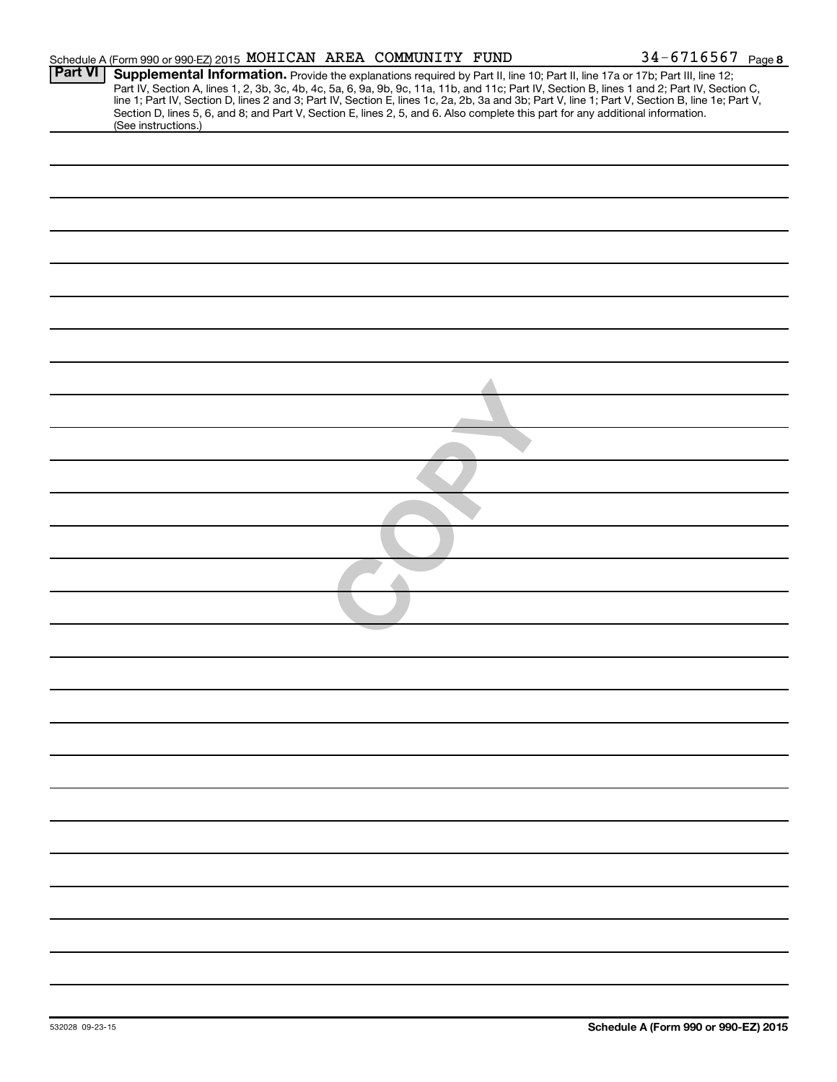|                | Schedule A (Form 990 or 990-EZ) 2015 MOHICAN AREA COMMUNITY FUND                                                                                                                                                                                                                                                                                                                                                                                                                                                                                                                           |  | $34 - 6716567$ Page 8 |
|----------------|--------------------------------------------------------------------------------------------------------------------------------------------------------------------------------------------------------------------------------------------------------------------------------------------------------------------------------------------------------------------------------------------------------------------------------------------------------------------------------------------------------------------------------------------------------------------------------------------|--|-----------------------|
| <b>Part VI</b> | Supplemental Information. Provide the explanations required by Part II, line 10; Part II, line 17a or 17b; Part III, line 12;<br>Part IV, Section A, lines 1, 2, 3b, 3c, 4b, 4c, 5a, 6, 9a, 9b, 9c, 11a, 11b, and 11c; Part IV, Section B, lines 1 and 2; Part IV, Section C,<br>line 1; Part IV, Section D, lines 2 and 3; Part IV, Section E, lines 1c, 2a, 2b, 3a and 3b; Part V, line 1; Part V, Section B, line 1e; Part V,<br>Section D, lines 5, 6, and 8; and Part V, Section E, lines 2, 5, and 6. Also complete this part for any additional information.<br>(See instructions.) |  |                       |
|                |                                                                                                                                                                                                                                                                                                                                                                                                                                                                                                                                                                                            |  |                       |
|                |                                                                                                                                                                                                                                                                                                                                                                                                                                                                                                                                                                                            |  |                       |
|                |                                                                                                                                                                                                                                                                                                                                                                                                                                                                                                                                                                                            |  |                       |
|                |                                                                                                                                                                                                                                                                                                                                                                                                                                                                                                                                                                                            |  |                       |
|                |                                                                                                                                                                                                                                                                                                                                                                                                                                                                                                                                                                                            |  |                       |
|                |                                                                                                                                                                                                                                                                                                                                                                                                                                                                                                                                                                                            |  |                       |
|                |                                                                                                                                                                                                                                                                                                                                                                                                                                                                                                                                                                                            |  |                       |
|                |                                                                                                                                                                                                                                                                                                                                                                                                                                                                                                                                                                                            |  |                       |
|                |                                                                                                                                                                                                                                                                                                                                                                                                                                                                                                                                                                                            |  |                       |
|                |                                                                                                                                                                                                                                                                                                                                                                                                                                                                                                                                                                                            |  |                       |
|                |                                                                                                                                                                                                                                                                                                                                                                                                                                                                                                                                                                                            |  |                       |
|                |                                                                                                                                                                                                                                                                                                                                                                                                                                                                                                                                                                                            |  |                       |
|                |                                                                                                                                                                                                                                                                                                                                                                                                                                                                                                                                                                                            |  |                       |
|                |                                                                                                                                                                                                                                                                                                                                                                                                                                                                                                                                                                                            |  |                       |
|                |                                                                                                                                                                                                                                                                                                                                                                                                                                                                                                                                                                                            |  |                       |
|                |                                                                                                                                                                                                                                                                                                                                                                                                                                                                                                                                                                                            |  |                       |
|                |                                                                                                                                                                                                                                                                                                                                                                                                                                                                                                                                                                                            |  |                       |
|                |                                                                                                                                                                                                                                                                                                                                                                                                                                                                                                                                                                                            |  |                       |
|                |                                                                                                                                                                                                                                                                                                                                                                                                                                                                                                                                                                                            |  |                       |
|                |                                                                                                                                                                                                                                                                                                                                                                                                                                                                                                                                                                                            |  |                       |
|                |                                                                                                                                                                                                                                                                                                                                                                                                                                                                                                                                                                                            |  |                       |
|                |                                                                                                                                                                                                                                                                                                                                                                                                                                                                                                                                                                                            |  |                       |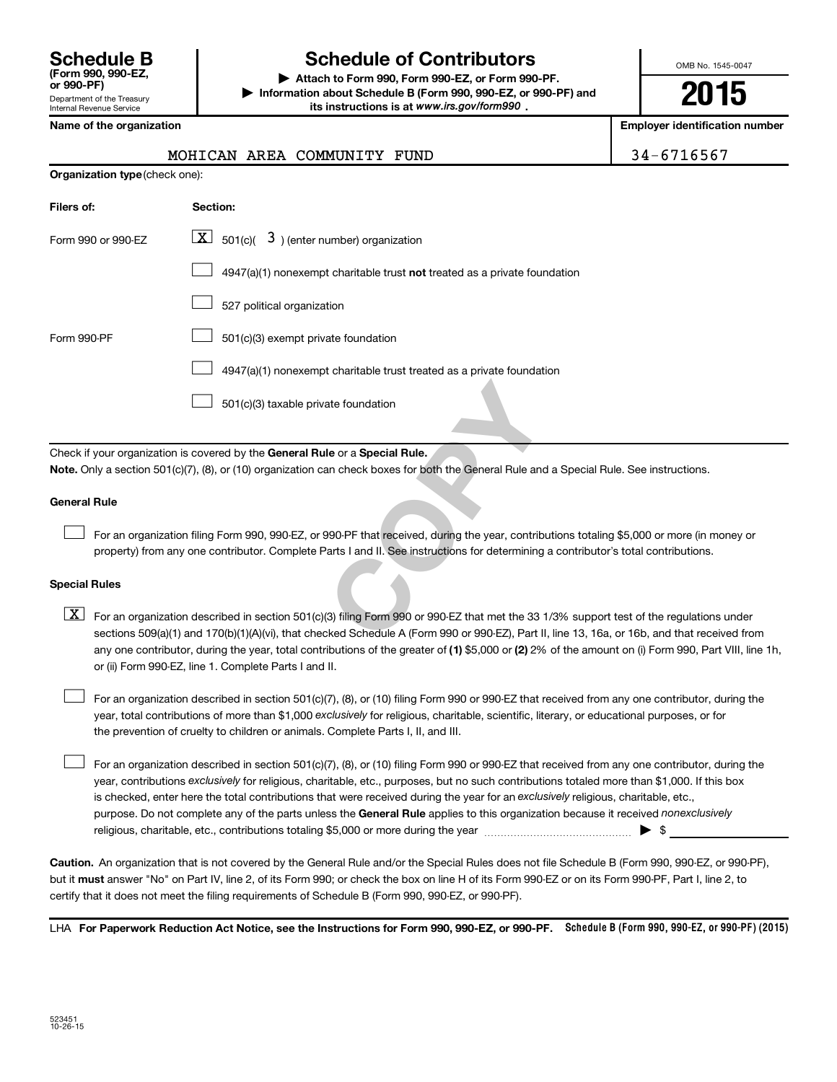| <b>Schedule B</b><br>(Form 990, 990-EZ.<br>or 990-PF)         |
|---------------------------------------------------------------|
| Department of the Treasury<br><b>Internal Revenue Service</b> |

### **Schedule of Contributors**

**or 990-PF) | Attach to Form 990, Form 990-EZ, or Form 990-PF. | Information about Schedule B (Form 990, 990-EZ, or 990-PF) and** its instructions is at www.irs.gov/form990.

OMB No. 1545-0047

**2015**

**Employer identification number** 

|--|--|

### MOHICAN AREA COMMUNITY FUND | 3

| <b>Organization type (check one):</b> |                                                                                                                                                                                                                                                                            |  |  |  |
|---------------------------------------|----------------------------------------------------------------------------------------------------------------------------------------------------------------------------------------------------------------------------------------------------------------------------|--|--|--|
| Filers of:                            | Section:                                                                                                                                                                                                                                                                   |  |  |  |
| Form 990 or 990-EZ                    | $\lfloor x \rfloor$ 501(c)( 3) (enter number) organization                                                                                                                                                                                                                 |  |  |  |
|                                       | $4947(a)(1)$ nonexempt charitable trust not treated as a private foundation                                                                                                                                                                                                |  |  |  |
|                                       | 527 political organization                                                                                                                                                                                                                                                 |  |  |  |
| Form 990-PF                           | 501(c)(3) exempt private foundation                                                                                                                                                                                                                                        |  |  |  |
|                                       | 4947(a)(1) nonexempt charitable trust treated as a private foundation                                                                                                                                                                                                      |  |  |  |
|                                       | 501(c)(3) taxable private foundation                                                                                                                                                                                                                                       |  |  |  |
|                                       | Check if your organization is covered by the General Rule or a Special Rule.                                                                                                                                                                                               |  |  |  |
|                                       | Note. Only a section 501(c)(7), (8), or (10) organization can check boxes for both the General Rule and a Special Rule. See instructions.                                                                                                                                  |  |  |  |
| <b>General Rule</b>                   |                                                                                                                                                                                                                                                                            |  |  |  |
|                                       | For an organization filing Form 990, 990-EZ, or 990-PF that received, during the year, contributions totaling \$5,000 or more (in mo<br>property) from any one contributor. Complete Parts I and II. See instructions for determining a contributor's total contributions. |  |  |  |
| <b>Special Rules</b>                  |                                                                                                                                                                                                                                                                            |  |  |  |
| $\lfloor x \rfloor$                   | For an organization described in section 501(c)(3) filing Form 990 or 990-EZ that met the 33 1/3% support test of the regulations<br>sections 509(a)(1) and 170(b)(1)(A)(vi), that checked Schedule A (Form 990 or 990-EZ), Part II, line 13, 16a, or 16b, and that receiv |  |  |  |

### **General Rule**

For an organization filing Form 990, 990-EZ, or 990-PF that received, during the year, contributions totaling \$5,000 or more (in money or property) from any one contributor. Complete Parts I and II. See instructions for determining a contributor's total contributions.

### **Special Rules**

any one contributor, during the year, total contributions of the greater of **(1)** \$5,000 or **(2)** 2% of the amount on (i) Form 990, Part VIII, line 1h,  $\boxed{\text{X}}$  For an organization described in section 501(c)(3) filing Form 990 or 990-EZ that met the 33 1/3% support test of the regulations under sections 509(a)(1) and 170(b)(1)(A)(vi), that checked Schedule A (Form 990 or 990-EZ), Part II, line 13, 16a, or 16b, and that received from or (ii) Form 990-EZ, line 1. Complete Parts I and II.

year, total contributions of more than \$1,000 *exclusively* for religious, charitable, scientific, literary, or educational purposes, or for For an organization described in section 501(c)(7), (8), or (10) filing Form 990 or 990-EZ that received from any one contributor, during the the prevention of cruelty to children or animals. Complete Parts I, II, and III.  $\Box$ 

purpose. Do not complete any of the parts unless the General Rule applies to this organization because it received nonexclusively year, contributions exclusively for religious, charitable, etc., purposes, but no such contributions totaled more than \$1,000. If this box is checked, enter here the total contributions that were received during the year for an exclusively religious, charitable, etc., For an organization described in section 501(c)(7), (8), or (10) filing Form 990 or 990-EZ that received from any one contributor, during the religious, charitable, etc., contributions totaling \$5,000 or more during the year  $\ldots$  $\ldots$  $\ldots$  $\ldots$  $\ldots$  $\ldots$  $\Box$ 

**Caution.** An organization that is not covered by the General Rule and/or the Special Rules does not file Schedule B (Form 990, 990-EZ, or 990-PF),  **must** but it answer "No" on Part IV, line 2, of its Form 990; or check the box on line H of its Form 990-EZ or on its Form 990-PF, Part I, line 2, to certify that it does not meet the filing requirements of Schedule B (Form 990, 990-EZ, or 990-PF).

LHA For Paperwork Reduction Act Notice, see the Instructions for Form 990, 990-EZ, or 990-PF. Schedule B (Form 990, 990-EZ, or 990-PF) (2015)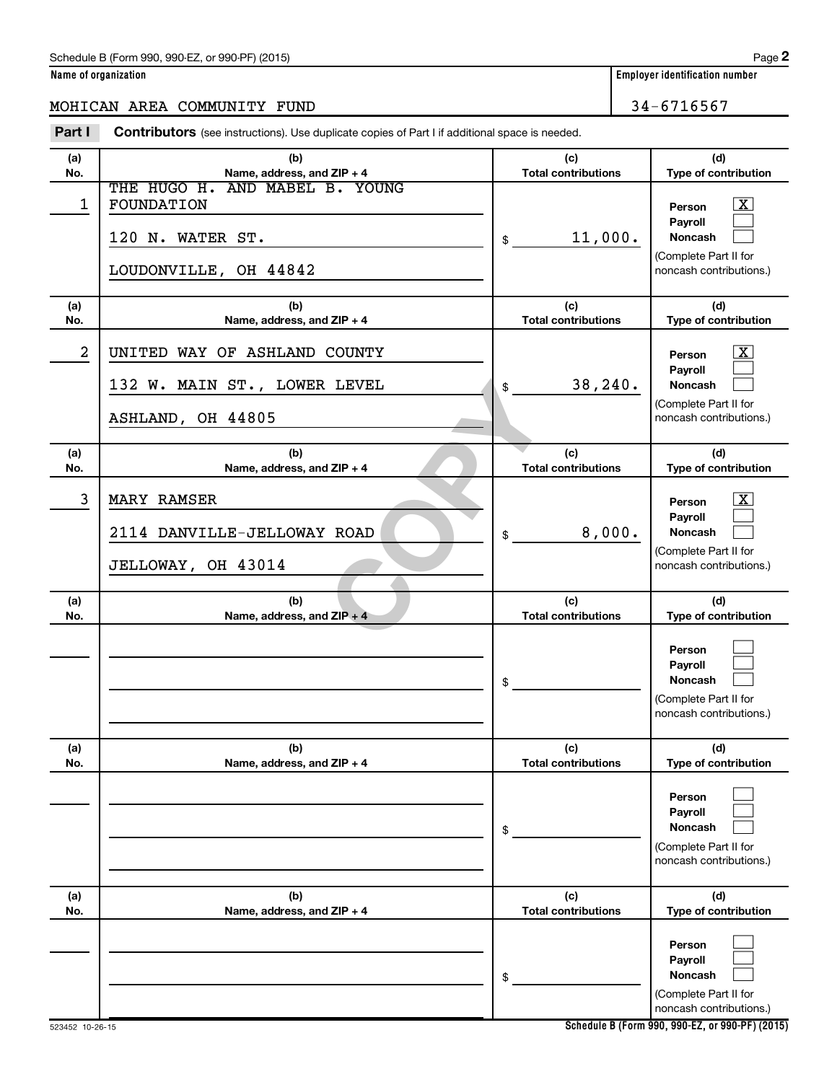### Schedule B (Form 990, 990-EZ, or 990-PF) (2015)

### MOHICAN AREA COMMUNITY FUND 34-6716567

**Part I** Contributors (see instructions). Use duplicate copies of Part I if additional space is needed.

| (a)<br>No. | (b)<br>Name, address, and ZIP + 4                                                         | (c)<br><b>Total contributions</b> | (d)<br>Type of contribution                                                                                        |
|------------|-------------------------------------------------------------------------------------------|-----------------------------------|--------------------------------------------------------------------------------------------------------------------|
| 1          | THE HUGO H. AND MABEL B. YOUNG<br>FOUNDATION<br>120 N. WATER ST.<br>LOUDONVILLE, OH 44842 | 11,000.<br>\$                     | $\overline{\mathbf{x}}$<br>Person<br>Payroll<br>Noncash<br>(Complete Part II for<br>noncash contributions.)        |
| (a)        | (b)                                                                                       | (c)                               | (d)                                                                                                                |
| No.        | Name, address, and ZIP + 4                                                                | <b>Total contributions</b>        | Type of contribution                                                                                               |
| 2          | UNITED WAY OF ASHLAND COUNTY<br>132 W. MAIN ST., LOWER LEVEL<br>ASHLAND, OH 44805         | 38, 240.<br>\$                    | $\overline{\mathbf{x}}$<br>Person<br>Payroll<br><b>Noncash</b><br>(Complete Part II for<br>noncash contributions.) |
| (a)<br>No. | (b)<br>Name, address, and ZIP + 4                                                         | (c)<br><b>Total contributions</b> | (d)<br>Type of contribution                                                                                        |
| 3          | <b>MARY RAMSER</b><br>2114 DANVILLE-JELLOWAY ROAD<br>JELLOWAY, OH 43014                   | 8,000.<br>\$                      | $\overline{\mathbf{x}}$<br>Person<br>Payroll<br><b>Noncash</b><br>(Complete Part II for<br>noncash contributions.) |
| (a)<br>No. | (b)<br>Name, address, and ZIP + 4                                                         | (c)<br><b>Total contributions</b> | (d)<br>Type of contribution                                                                                        |
|            |                                                                                           | \$                                | Person<br>Payroll<br>Noncash<br>(Complete Part II for<br>noncash contributions.)                                   |
| (a)<br>No. | (b)<br>Name, address, and ZIP + 4                                                         | (c)<br><b>Total contributions</b> | (d)<br>Type of contribution                                                                                        |
|            |                                                                                           | \$                                | Person<br>Payroll<br>Noncash<br>(Complete Part II for<br>noncash contributions.)                                   |
| (a)<br>No. | (b)<br>Name, address, and ZIP + 4                                                         | (c)<br><b>Total contributions</b> | (d)<br>Type of contribution                                                                                        |
|            |                                                                                           | \$                                | Person<br>Payroll<br>Noncash<br>(Complete Part II for<br>noncash contributions.)                                   |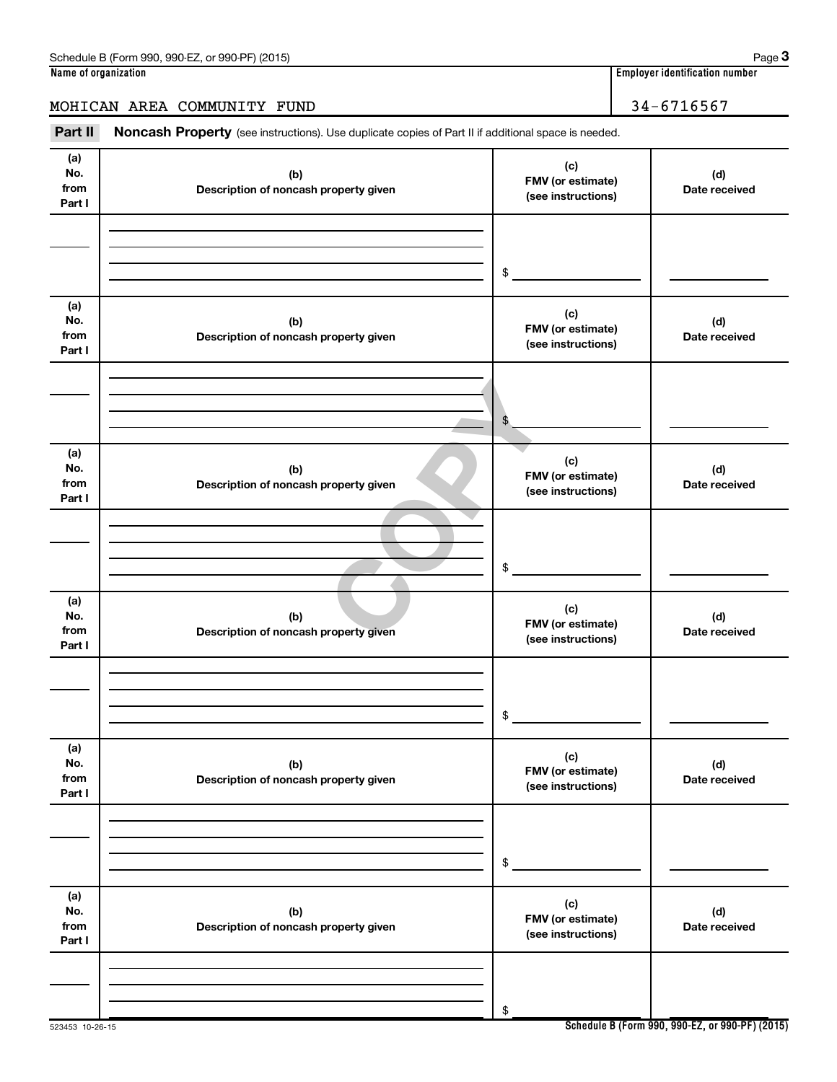## Part II Noncash Property (see instructions). Use duplicate copies of Part II if additional space is needed.

| (a)<br>No.<br>from<br>Part I | (b)<br>Description of noncash property given | (c)<br>FMV (or estimate)<br>(see instructions) | (d)<br>Date received |
|------------------------------|----------------------------------------------|------------------------------------------------|----------------------|
|                              |                                              | \$                                             |                      |
| (a)<br>No.<br>from<br>Part I | (b)<br>Description of noncash property given | (c)<br>FMV (or estimate)<br>(see instructions) | (d)<br>Date received |
|                              |                                              | \$                                             |                      |
| (a)<br>No.<br>from<br>Part I | (b)<br>Description of noncash property given | (c)<br>FMV (or estimate)<br>(see instructions) | (d)<br>Date received |
|                              |                                              | \$                                             |                      |
| (a)<br>No.<br>from<br>Part I | (b)<br>Description of noncash property given | (c)<br>FMV (or estimate)<br>(see instructions) | (d)<br>Date received |
|                              |                                              | \$                                             |                      |
| (a)<br>No.<br>from<br>Part I | (b)<br>Description of noncash property given | (c)<br>FMV (or estimate)<br>(see instructions) | (d)<br>Date received |
|                              |                                              | \$                                             |                      |
| (a)<br>No.<br>from<br>Part I | (b)<br>Description of noncash property given | (c)<br>FMV (or estimate)<br>(see instructions) | (d)<br>Date received |
|                              |                                              | \$                                             |                      |

### **3**

MOHICAN AREA COMMUNITY FUND 34-6716567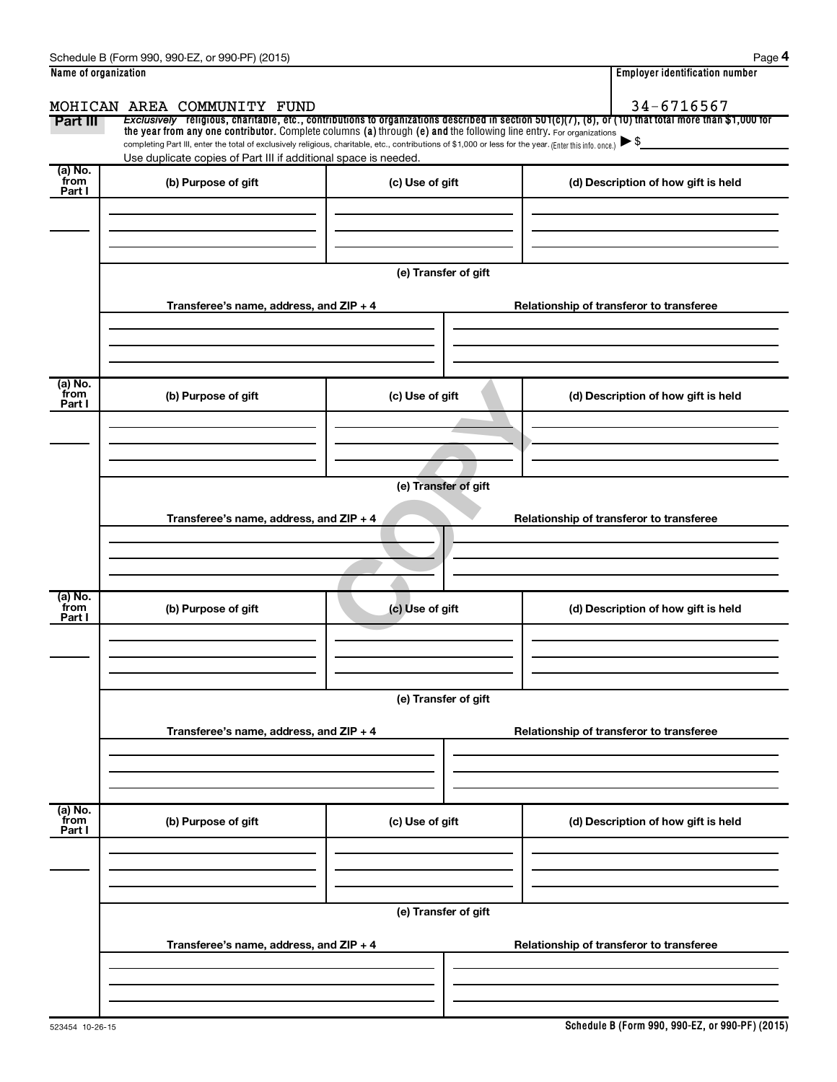| Name of organization      |                                                                                                                                                          | <b>Employer identification number</b>                                                                                                                    |                                          |  |  |  |
|---------------------------|----------------------------------------------------------------------------------------------------------------------------------------------------------|----------------------------------------------------------------------------------------------------------------------------------------------------------|------------------------------------------|--|--|--|
|                           | MOHICAN AREA COMMUNITY FUND                                                                                                                              | 34-6716567                                                                                                                                               |                                          |  |  |  |
| <b>Part III</b>           | the year from any one contributor. Complete columns (a) through (e) and the following line entry. For organizations                                      | Exclusively religious, charitable, etc., contributions to organizations described in section $501(c)(7)$ , (8), or (10) that total more than \$1,000 for |                                          |  |  |  |
|                           | completing Part III, enter the total of exclusively religious, charitable, etc., contributions of \$1,000 or less for the year. (Enter this info. once.) |                                                                                                                                                          |                                          |  |  |  |
| (a) No.<br>from           | Use duplicate copies of Part III if additional space is needed.                                                                                          |                                                                                                                                                          |                                          |  |  |  |
| Part I                    | (b) Purpose of gift                                                                                                                                      | (c) Use of gift                                                                                                                                          | (d) Description of how gift is held      |  |  |  |
|                           |                                                                                                                                                          |                                                                                                                                                          |                                          |  |  |  |
|                           |                                                                                                                                                          |                                                                                                                                                          |                                          |  |  |  |
|                           |                                                                                                                                                          |                                                                                                                                                          |                                          |  |  |  |
|                           |                                                                                                                                                          | (e) Transfer of gift                                                                                                                                     |                                          |  |  |  |
|                           | Transferee's name, address, and ZIP + 4                                                                                                                  |                                                                                                                                                          | Relationship of transferor to transferee |  |  |  |
|                           |                                                                                                                                                          |                                                                                                                                                          |                                          |  |  |  |
|                           |                                                                                                                                                          |                                                                                                                                                          |                                          |  |  |  |
|                           |                                                                                                                                                          |                                                                                                                                                          |                                          |  |  |  |
| (a) No.<br>from           | (b) Purpose of gift                                                                                                                                      | (c) Use of gift                                                                                                                                          | (d) Description of how gift is held      |  |  |  |
| Part I                    |                                                                                                                                                          |                                                                                                                                                          |                                          |  |  |  |
|                           |                                                                                                                                                          |                                                                                                                                                          |                                          |  |  |  |
|                           |                                                                                                                                                          |                                                                                                                                                          |                                          |  |  |  |
|                           | (e) Transfer of gift                                                                                                                                     |                                                                                                                                                          |                                          |  |  |  |
|                           |                                                                                                                                                          |                                                                                                                                                          |                                          |  |  |  |
|                           | Transferee's name, address, and ZIP + 4                                                                                                                  |                                                                                                                                                          | Relationship of transferor to transferee |  |  |  |
|                           |                                                                                                                                                          |                                                                                                                                                          |                                          |  |  |  |
|                           |                                                                                                                                                          |                                                                                                                                                          |                                          |  |  |  |
| (a) No.<br>from           |                                                                                                                                                          |                                                                                                                                                          |                                          |  |  |  |
| Part I                    | (b) Purpose of gift                                                                                                                                      | (c) Use of gift                                                                                                                                          | (d) Description of how gift is held      |  |  |  |
|                           |                                                                                                                                                          |                                                                                                                                                          |                                          |  |  |  |
|                           |                                                                                                                                                          |                                                                                                                                                          |                                          |  |  |  |
|                           |                                                                                                                                                          |                                                                                                                                                          |                                          |  |  |  |
|                           | (e) Transfer of gift                                                                                                                                     |                                                                                                                                                          |                                          |  |  |  |
|                           | Transferee's name, address, and ZIP + 4                                                                                                                  | Relationship of transferor to transferee                                                                                                                 |                                          |  |  |  |
|                           |                                                                                                                                                          |                                                                                                                                                          |                                          |  |  |  |
|                           |                                                                                                                                                          |                                                                                                                                                          |                                          |  |  |  |
|                           |                                                                                                                                                          |                                                                                                                                                          |                                          |  |  |  |
| (a) No.<br>from<br>Part I | (b) Purpose of gift                                                                                                                                      | (c) Use of gift                                                                                                                                          | (d) Description of how gift is held      |  |  |  |
|                           |                                                                                                                                                          |                                                                                                                                                          |                                          |  |  |  |
|                           |                                                                                                                                                          |                                                                                                                                                          |                                          |  |  |  |
|                           |                                                                                                                                                          |                                                                                                                                                          |                                          |  |  |  |
|                           | (e) Transfer of gift                                                                                                                                     |                                                                                                                                                          |                                          |  |  |  |
|                           |                                                                                                                                                          |                                                                                                                                                          |                                          |  |  |  |
|                           | Transferee's name, address, and ZIP + 4                                                                                                                  |                                                                                                                                                          | Relationship of transferor to transferee |  |  |  |
|                           |                                                                                                                                                          |                                                                                                                                                          |                                          |  |  |  |
|                           |                                                                                                                                                          |                                                                                                                                                          |                                          |  |  |  |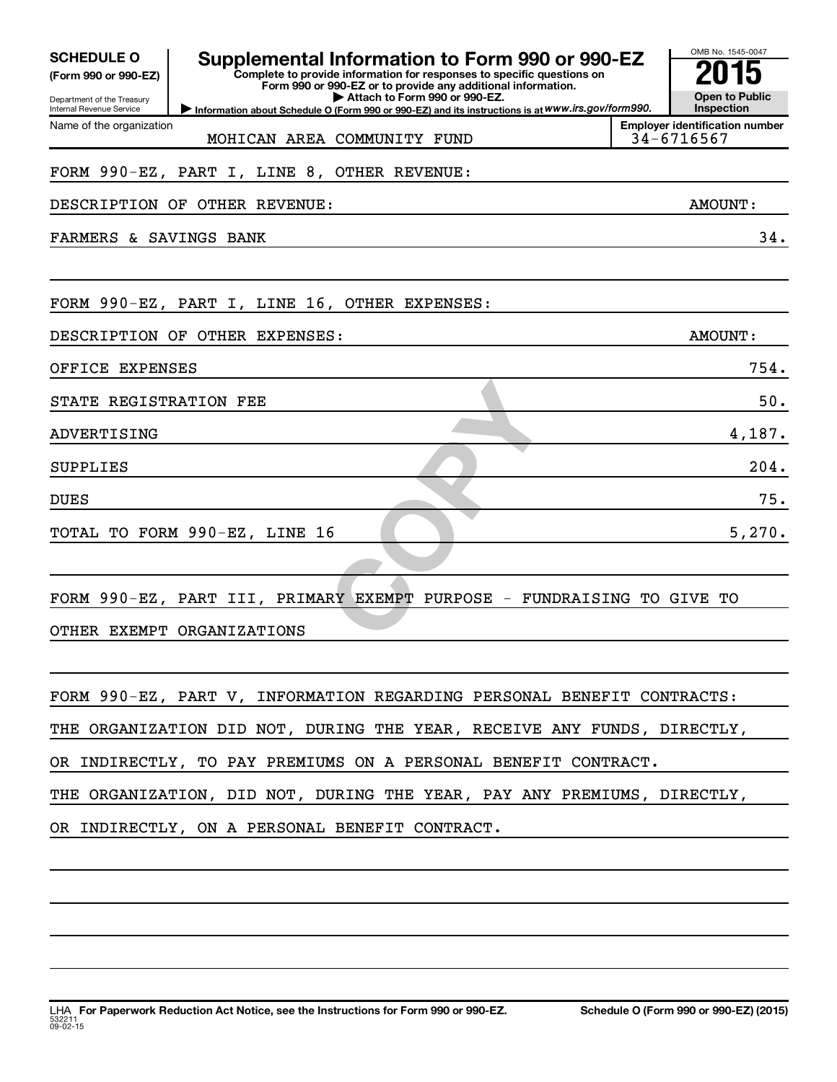| <b>SCHEDULE O</b><br>(Form 990 or 990-EZ)<br>Department of the Treasury<br>Internal Revenue Service | Supplemental Information to Form 990 or 990-EZ<br>Complete to provide information for responses to specific questions on<br>Form 990 or 990-EZ or to provide any additional information.<br>Attach to Form 990 or 990-EZ.<br>Information about Schedule O (Form 990 or 990-EZ) and its instructions is at WWW.irs.gov/form990. | OMB No. 1545-0047<br><b>Open to Public</b><br>Inspection |
|-----------------------------------------------------------------------------------------------------|--------------------------------------------------------------------------------------------------------------------------------------------------------------------------------------------------------------------------------------------------------------------------------------------------------------------------------|----------------------------------------------------------|
| Name of the organization                                                                            | MOHICAN AREA COMMUNITY FUND                                                                                                                                                                                                                                                                                                    | <b>Employer identification number</b><br>34-6716567      |
|                                                                                                     | FORM 990-EZ, PART I, LINE 8, OTHER REVENUE:                                                                                                                                                                                                                                                                                    |                                                          |
|                                                                                                     | DESCRIPTION OF OTHER REVENUE:                                                                                                                                                                                                                                                                                                  | AMOUNT:                                                  |
| FARMERS & SAVINGS BANK                                                                              |                                                                                                                                                                                                                                                                                                                                | 34.                                                      |
|                                                                                                     |                                                                                                                                                                                                                                                                                                                                |                                                          |
|                                                                                                     | FORM 990-EZ, PART I, LINE 16, OTHER EXPENSES:                                                                                                                                                                                                                                                                                  |                                                          |
|                                                                                                     | DESCRIPTION OF OTHER EXPENSES:                                                                                                                                                                                                                                                                                                 | AMOUNT:                                                  |
| OFFICE EXPENSES                                                                                     |                                                                                                                                                                                                                                                                                                                                | 754.                                                     |
| STATE REGISTRATION FEE                                                                              |                                                                                                                                                                                                                                                                                                                                | 50.                                                      |
| ADVERTISING                                                                                         |                                                                                                                                                                                                                                                                                                                                | 4,187.                                                   |
| <b>SUPPLIES</b>                                                                                     |                                                                                                                                                                                                                                                                                                                                | 204.                                                     |
| <b>DUES</b>                                                                                         |                                                                                                                                                                                                                                                                                                                                | 75.                                                      |
|                                                                                                     | TOTAL TO FORM 990-EZ, LINE 16                                                                                                                                                                                                                                                                                                  | 5,270.                                                   |
|                                                                                                     |                                                                                                                                                                                                                                                                                                                                |                                                          |
|                                                                                                     | FORM 990-EZ, PART III, PRIMARY EXEMPT PURPOSE - FUNDRAISING TO GIVE TO                                                                                                                                                                                                                                                         |                                                          |
| OTHER EXEMPT ORGANIZATIONS                                                                          |                                                                                                                                                                                                                                                                                                                                |                                                          |
|                                                                                                     |                                                                                                                                                                                                                                                                                                                                |                                                          |
|                                                                                                     | FORM 990-EZ, PART V, INFORMATION REGARDING PERSONAL BENEFIT CONTRACTS:                                                                                                                                                                                                                                                         |                                                          |
|                                                                                                     | THE ORGANIZATION DID NOT, DURING THE YEAR, RECEIVE ANY FUNDS, DIRECTLY,                                                                                                                                                                                                                                                        |                                                          |
|                                                                                                     | OR INDIRECTLY, TO PAY PREMIUMS ON A PERSONAL BENEFIT CONTRACT.                                                                                                                                                                                                                                                                 |                                                          |
|                                                                                                     | THE ORGANIZATION, DID NOT, DURING THE YEAR, PAY ANY PREMIUMS, DIRECTLY,                                                                                                                                                                                                                                                        |                                                          |
|                                                                                                     | OR INDIRECTLY, ON A PERSONAL BENEFIT CONTRACT.                                                                                                                                                                                                                                                                                 |                                                          |
|                                                                                                     |                                                                                                                                                                                                                                                                                                                                |                                                          |
|                                                                                                     |                                                                                                                                                                                                                                                                                                                                |                                                          |